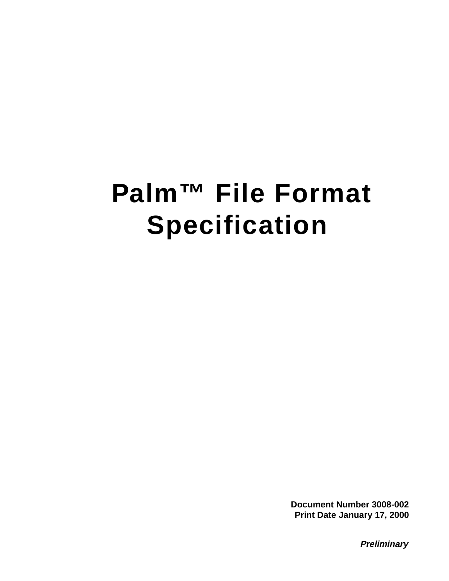# **Palm™ File Format Specification**

**Document Number 3008-002 Print Date January 17, 2000**

 **Preliminary**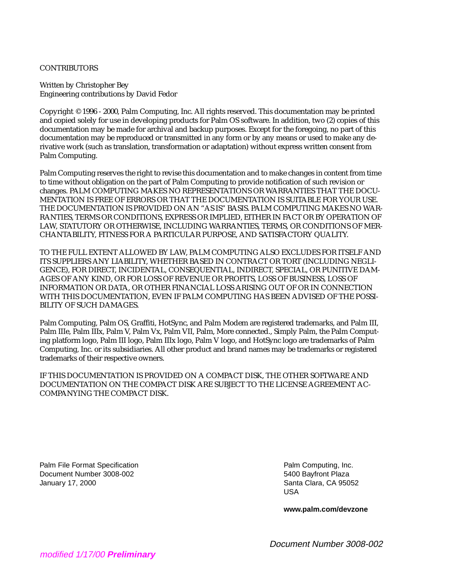#### CONTRIBUTORS

Written by Christopher Bey Engineering contributions by David Fedor

Copyright © 1996 - 2000, Palm Computing, Inc. All rights reserved. This documentation may be printed and copied solely for use in developing products for Palm OS software. In addition, two (2) copies of this documentation may be made for archival and backup purposes. Except for the foregoing, no part of this documentation may be reproduced or transmitted in any form or by any means or used to make any derivative work (such as translation, transformation or adaptation) without express written consent from Palm Computing.

Palm Computing reserves the right to revise this documentation and to make changes in content from time to time without obligation on the part of Palm Computing to provide notification of such revision or changes. PALM COMPUTING MAKES NO REPRESENTATIONS OR WARRANTIES THAT THE DOCU-MENTATION IS FREE OF ERRORS OR THAT THE DOCUMENTATION IS SUITABLE FOR YOUR USE. THE DOCUMENTATION IS PROVIDED ON AN "AS IS" BASIS. PALM COMPUTING MAKES NO WAR-RANTIES, TERMS OR CONDITIONS, EXPRESS OR IMPLIED, EITHER IN FACT OR BY OPERATION OF LAW, STATUTORY OR OTHERWISE, INCLUDING WARRANTIES, TERMS, OR CONDITIONS OF MER-CHANTABILITY, FITNESS FOR A PARTICULAR PURPOSE, AND SATISFACTORY QUALITY.

TO THE FULL EXTENT ALLOWED BY LAW, PALM COMPUTING ALSO EXCLUDES FOR ITSELF AND ITS SUPPLIERS ANY LIABILITY, WHETHER BASED IN CONTRACT OR TORT (INCLUDING NEGLI-GENCE), FOR DIRECT, INCIDENTAL, CONSEQUENTIAL, INDIRECT, SPECIAL, OR PUNITIVE DAM-AGES OF ANY KIND, OR FOR LOSS OF REVENUE OR PROFITS, LOSS OF BUSINESS, LOSS OF INFORMATION OR DATA, OR OTHER FINANCIAL LOSS ARISING OUT OF OR IN CONNECTION WITH THIS DOCUMENTATION, EVEN IF PALM COMPUTING HAS BEEN ADVISED OF THE POSSI-BILITY OF SUCH DAMAGES.

Palm Computing, Palm OS, Graffiti, HotSync, and Palm Modem are registered trademarks, and Palm III, Palm IIIe, Palm IIIx, Palm V, Palm Vx, Palm VII, Palm, More connected., Simply Palm, the Palm Computing platform logo, Palm III logo, Palm IIIx logo, Palm V logo, and HotSync logo are trademarks of Palm Computing, Inc. or its subsidiaries. All other product and brand names may be trademarks or registered trademarks of their respective owners.

IF THIS DOCUMENTATION IS PROVIDED ON A COMPACT DISK, THE OTHER SOFTWARE AND DOCUMENTATION ON THE COMPACT DISK ARE SUBJECT TO THE LICENSE AGREEMENT AC-COMPANYING THE COMPACT DISK.

Palm File Format Specification Document Number 3008-002 January 17, 2000

Palm Computing, Inc. 5400 Bayfront Plaza Santa Clara, CA 95052 USA

**www.palm.com/devzone**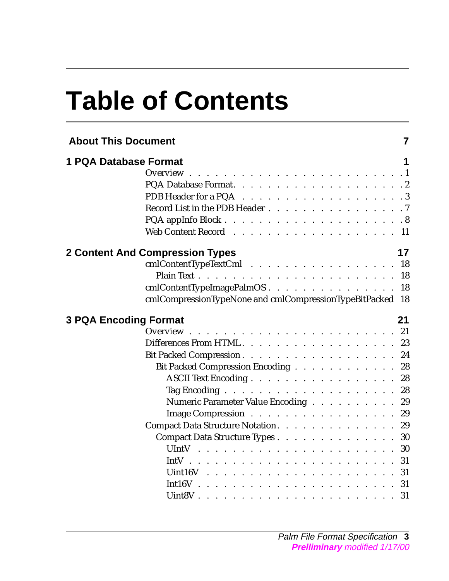# **Table of Contents**

| <b>About This Document</b>                                |  |  |  |  | 7  |
|-----------------------------------------------------------|--|--|--|--|----|
| <b>1 PQA Database Format</b>                              |  |  |  |  | 1  |
|                                                           |  |  |  |  |    |
|                                                           |  |  |  |  |    |
|                                                           |  |  |  |  |    |
| Record List in the PDB Header 7                           |  |  |  |  |    |
|                                                           |  |  |  |  |    |
|                                                           |  |  |  |  |    |
| 2 Content And Compression Types                           |  |  |  |  | 17 |
| cmlContentTypeTextCml 18                                  |  |  |  |  |    |
|                                                           |  |  |  |  |    |
| cmlContentTypeImagePalmOS 18                              |  |  |  |  |    |
| cmlCompressionTypeNone and cmlCompressionTypeBitPacked 18 |  |  |  |  |    |
| <b>3 PQA Encoding Format</b>                              |  |  |  |  | 21 |
|                                                           |  |  |  |  |    |
| Differences From HTML. 23                                 |  |  |  |  |    |
| Bit Packed Compression. 24                                |  |  |  |  |    |
| Bit Packed Compression Encoding 28                        |  |  |  |  |    |
| ASCII Text Encoding 28                                    |  |  |  |  |    |
|                                                           |  |  |  |  |    |
| Numeric Parameter Value Encoding 29                       |  |  |  |  |    |
| Image Compression 29                                      |  |  |  |  |    |
| Compact Data Structure Notation. 29                       |  |  |  |  |    |
| Compact Data Structure Types 30                           |  |  |  |  |    |
|                                                           |  |  |  |  |    |
|                                                           |  |  |  |  |    |
|                                                           |  |  |  |  |    |
|                                                           |  |  |  |  |    |
|                                                           |  |  |  |  |    |
|                                                           |  |  |  |  |    |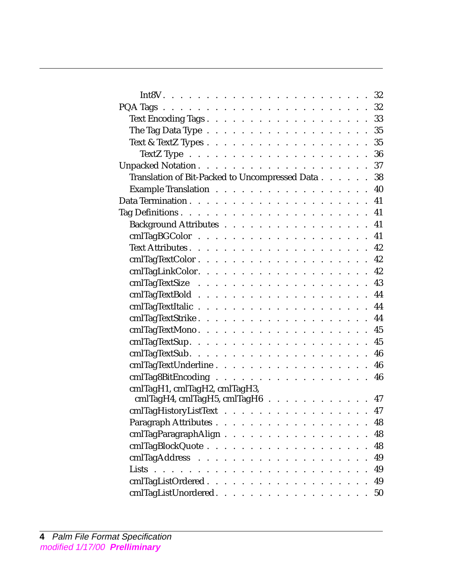|                                                                                     |  |  | 32 |  |
|-------------------------------------------------------------------------------------|--|--|----|--|
|                                                                                     |  |  | 32 |  |
|                                                                                     |  |  |    |  |
| The Tag Data Type $\ldots$ $\ldots$ $\ldots$ $\ldots$ $\ldots$ $\ldots$ $\ldots$ 35 |  |  |    |  |
|                                                                                     |  |  |    |  |
|                                                                                     |  |  |    |  |
|                                                                                     |  |  |    |  |
| Translation of Bit-Packed to Uncompressed Data 38                                   |  |  |    |  |
| Example Translation 40                                                              |  |  |    |  |
|                                                                                     |  |  | 41 |  |
|                                                                                     |  |  |    |  |
| Background Attributes 41                                                            |  |  |    |  |
|                                                                                     |  |  |    |  |
|                                                                                     |  |  |    |  |
|                                                                                     |  |  |    |  |
|                                                                                     |  |  |    |  |
|                                                                                     |  |  |    |  |
|                                                                                     |  |  |    |  |
|                                                                                     |  |  |    |  |
|                                                                                     |  |  |    |  |
|                                                                                     |  |  |    |  |
|                                                                                     |  |  |    |  |
|                                                                                     |  |  |    |  |
|                                                                                     |  |  | 46 |  |
| cmlTag8BitEncoding                                                                  |  |  | 46 |  |
| cmlTagH1, cmlTagH2, cmlTagH3,                                                       |  |  |    |  |
| cmlTagH4, cmlTagH5, cmlTagH6 47                                                     |  |  |    |  |
| cmlTagHistoryListText                                                               |  |  | 47 |  |
|                                                                                     |  |  | 48 |  |
| cmlTagParagraphAlign                                                                |  |  | 48 |  |
|                                                                                     |  |  | 48 |  |
|                                                                                     |  |  | 49 |  |
|                                                                                     |  |  | 49 |  |
|                                                                                     |  |  | 49 |  |
| cmlTagListUnordered.                                                                |  |  | 50 |  |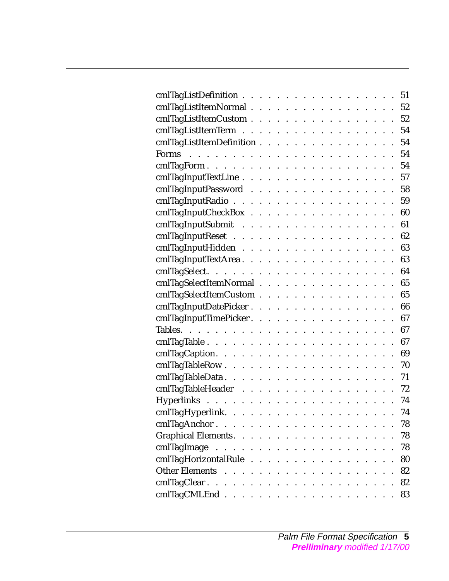| cmlTagListDefinition     |  |  |  |  |  |  |  |                      | 51 |
|--------------------------|--|--|--|--|--|--|--|----------------------|----|
| cmlTagListItemNormal     |  |  |  |  |  |  |  |                      | 52 |
| cmlTagListItemCustom     |  |  |  |  |  |  |  |                      | 52 |
| cmlTagListItemTerm       |  |  |  |  |  |  |  |                      | 54 |
| cmlTagListItemDefinition |  |  |  |  |  |  |  |                      | 54 |
|                          |  |  |  |  |  |  |  |                      | 54 |
|                          |  |  |  |  |  |  |  |                      | 54 |
|                          |  |  |  |  |  |  |  |                      | 57 |
| cmlTagInputPassword      |  |  |  |  |  |  |  |                      | 58 |
|                          |  |  |  |  |  |  |  |                      | 59 |
| cmlTagInputCheckBox      |  |  |  |  |  |  |  |                      | 60 |
| cmlTagInputSubmit        |  |  |  |  |  |  |  |                      | 61 |
| cmlTagInputReset         |  |  |  |  |  |  |  |                      | 62 |
| cmlTagInputHidden        |  |  |  |  |  |  |  |                      | 63 |
| cmlTagInputTextArea.     |  |  |  |  |  |  |  |                      | 63 |
|                          |  |  |  |  |  |  |  | $\ddot{\phantom{a}}$ | 64 |
| cmlTagSelectItemNormal   |  |  |  |  |  |  |  |                      | 65 |
| cmlTagSelectItemCustom   |  |  |  |  |  |  |  |                      | 65 |
| cmlTagInputDatePicker.   |  |  |  |  |  |  |  | $\ddot{\phantom{a}}$ | 66 |
| cmlTagInputTimePicker.   |  |  |  |  |  |  |  |                      | 67 |
|                          |  |  |  |  |  |  |  |                      | 67 |
|                          |  |  |  |  |  |  |  |                      | 67 |
|                          |  |  |  |  |  |  |  |                      | 69 |
| cmlTagTableRow           |  |  |  |  |  |  |  |                      | 70 |
|                          |  |  |  |  |  |  |  |                      | 71 |
| cmlTagTableHeader        |  |  |  |  |  |  |  |                      | 72 |
|                          |  |  |  |  |  |  |  |                      | 74 |
|                          |  |  |  |  |  |  |  |                      | 74 |
|                          |  |  |  |  |  |  |  |                      |    |
|                          |  |  |  |  |  |  |  |                      | 78 |
|                          |  |  |  |  |  |  |  |                      | 78 |
| cmlTagHorizontalRule     |  |  |  |  |  |  |  |                      | 80 |
|                          |  |  |  |  |  |  |  |                      | 82 |
|                          |  |  |  |  |  |  |  |                      | 82 |
|                          |  |  |  |  |  |  |  |                      | 83 |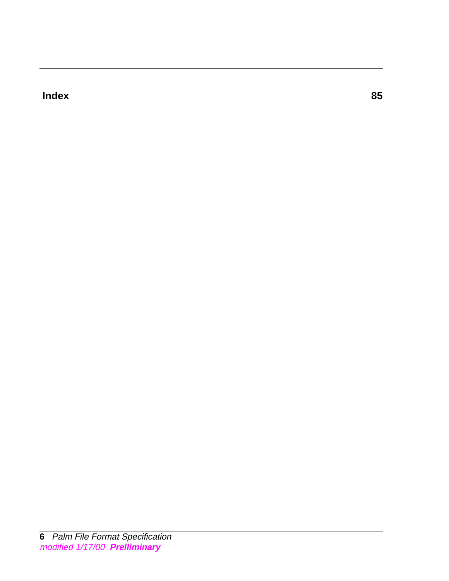#### **Index** 85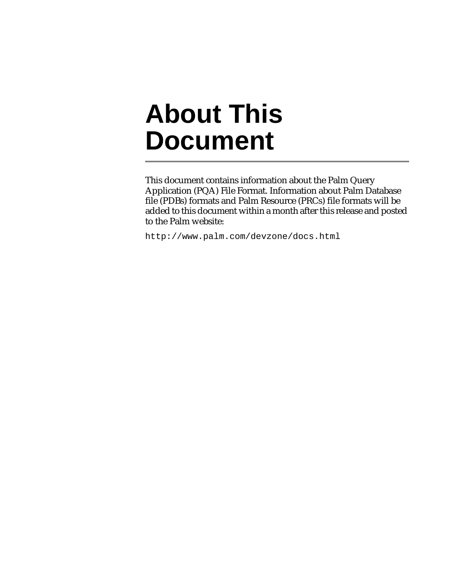## **About This Document**

This document contains information about the Palm Query Application (PQA) File Format. Information about Palm Database file (PDBs) formats and Palm Resource (PRCs) file formats will be added to this document within a month after this release and posted to the Palm website:

http://www.palm.com/devzone/docs.html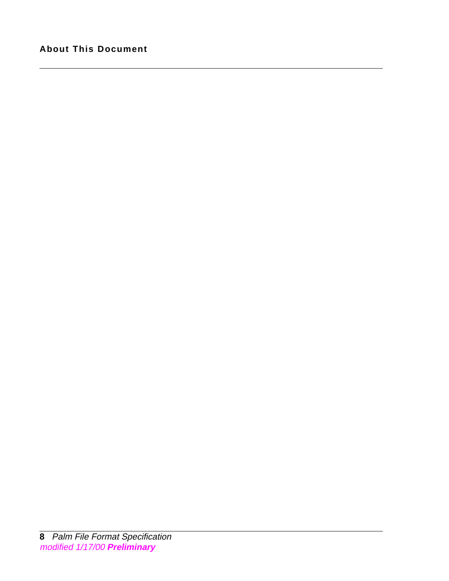#### **About This Document**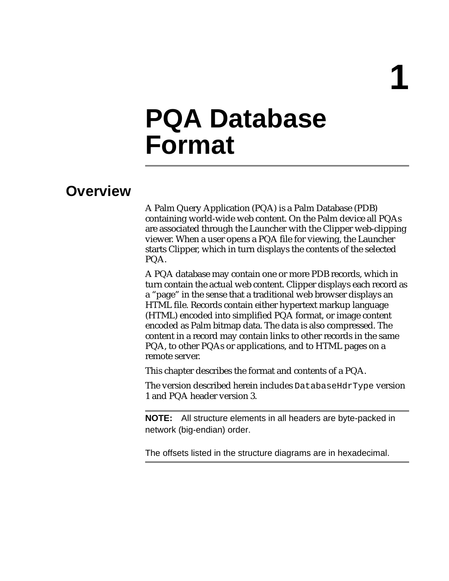## **PQA Database Format**

### **Overview**

A Palm Query Application (PQA) is a Palm Database (PDB) containing world-wide web content. On the Palm device all PQAs are associated through the Launcher with the Clipper web-clipping viewer. When a user opens a PQA file for viewing, the Launcher starts Clipper, which in turn displays the contents of the selected PQA.

A PQA database may contain one or more PDB records, which in turn contain the actual web content. Clipper displays each record as a "page" in the sense that a traditional web browser displays an HTML file. Records contain either hypertext markup language (HTML) encoded into simplified PQA format, or image content encoded as Palm bitmap data. The data is also compressed. The content in a record may contain links to other records in the same PQA, to other PQAs or applications, and to HTML pages on a remote server.

This chapter describes the format and contents of a PQA.

The version described herein includes DatabaseHdrType version 1 and PQA header version 3.

**NOTE:** All structure elements in all headers are byte-packed in network (big-endian) order.

The offsets listed in the structure diagrams are in hexadecimal.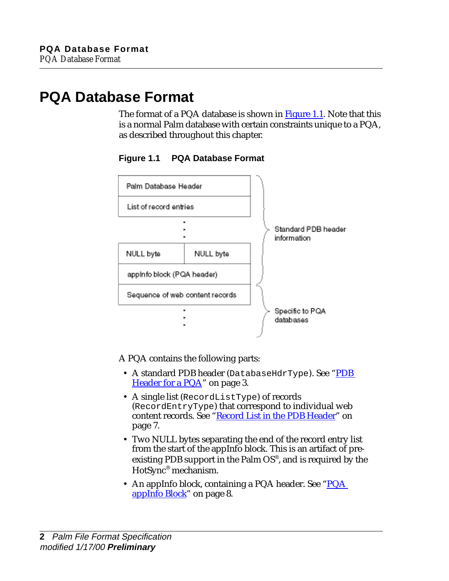## **PQA Database Format**

The format of a PQA database is shown in Figure 1.1. Note that this is a normal Palm database with certain constraints unique to a PQA, as described throughout this chapter.



**Figure 1.1 PQA Database Format**

A PQA contains the following parts:

- A standard PDB header (DatabaseHdrType). See "PDB Header for a PQA" on page 3.
- A single list (RecordListType) of records (RecordEntryType) that correspond to individual web content records. See "Record List in the PDB Header" on page 7.
- Two NULL bytes separating the end of the record entry list from the start of the appInfo block. This is an artifact of preexisting PDB support in the Palm OS®, and is required by the HotSync® mechanism.
- An appInfo block, containing a PQA header. See "PQA appInfo Block" on page 8.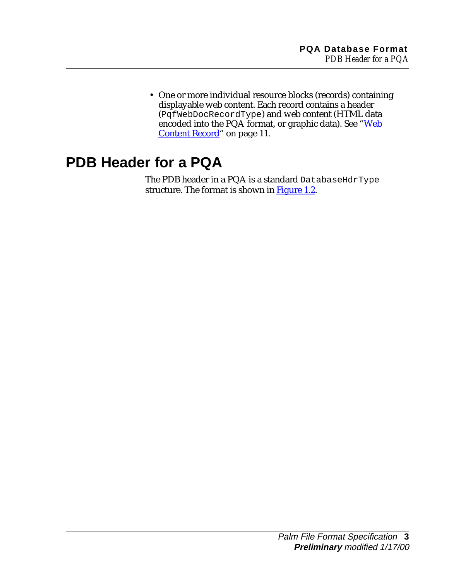• One or more individual resource blocks (records) containing displayable web content. Each record contains a header (PqfWebDocRecordType) and web content (HTML data encoded into the PQA format, or graphic data). See "Web Content Record" on page 11.

## **PDB Header for a PQA**

The PDB header in a PQA is a standard DatabaseHdrType structure. The format is shown in Figure 1.2.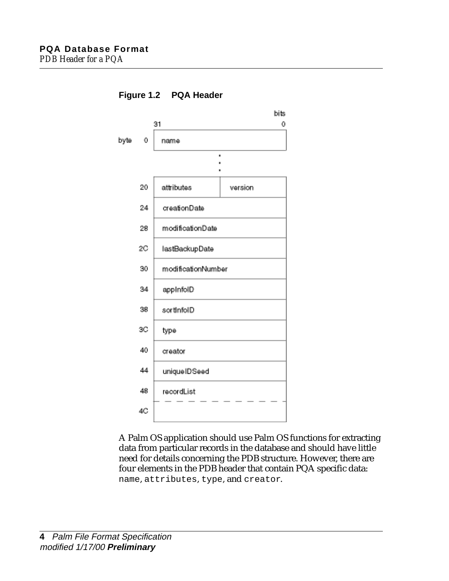

#### **Figure 1.2 PQA Header**

A Palm OS application should use Palm OS functions for extracting data from particular records in the database and should have little need for details concerning the PDB structure. However, there are four elements in the PDB header that contain PQA specific data: name, attributes, type, and creator.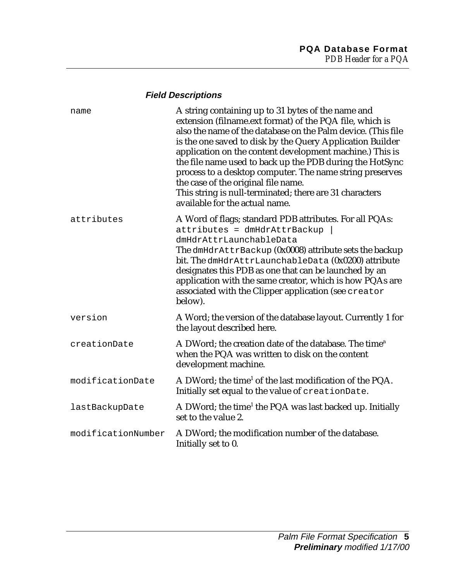#### **Field Descriptions**

| name               | A string containing up to 31 bytes of the name and<br>extension (filname.ext format) of the PQA file, which is<br>also the name of the database on the Palm device. (This file<br>is the one saved to disk by the Query Application Builder<br>application on the content development machine.) This is<br>the file name used to back up the PDB during the HotSync<br>process to a desktop computer. The name string preserves<br>the case of the original file name.<br>This string is null-terminated; there are 31 characters<br>available for the actual name. |
|--------------------|---------------------------------------------------------------------------------------------------------------------------------------------------------------------------------------------------------------------------------------------------------------------------------------------------------------------------------------------------------------------------------------------------------------------------------------------------------------------------------------------------------------------------------------------------------------------|
| attributes         | A Word of flags; standard PDB attributes. For all PQAs:<br>attributes = dmHdrAttrBackup<br>dmHdrAttrLaunchableData<br>The dmHdrAttrBackup (0x0008) attribute sets the backup<br>bit. The dmHdrAttrLaunchableData (0x0200) attribute<br>designates this PDB as one that can be launched by an<br>application with the same creator, which is how PQAs are<br>associated with the Clipper application (see creator<br>below).                                                                                                                                         |
| version            | A Word; the version of the database layout. Currently 1 for<br>the layout described here.                                                                                                                                                                                                                                                                                                                                                                                                                                                                           |
| creationDate       | A DWord; the creation date of the database. The time <sup>a</sup><br>when the PQA was written to disk on the content<br>development machine.                                                                                                                                                                                                                                                                                                                                                                                                                        |
| modificationDate   | A DWord; the time <sup>1</sup> of the last modification of the PQA.<br>Initially set equal to the value of creationDate.                                                                                                                                                                                                                                                                                                                                                                                                                                            |
| lastBackupDate     | A DWord; the time <sup>1</sup> the PQA was last backed up. Initially<br>set to the value 2.                                                                                                                                                                                                                                                                                                                                                                                                                                                                         |
| modificationNumber | A DWord; the modification number of the database.<br>Initially set to 0.                                                                                                                                                                                                                                                                                                                                                                                                                                                                                            |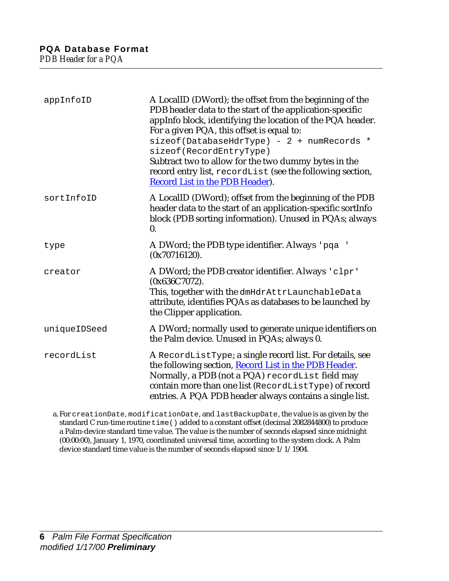| appInfoID    | A LocalID (DWord); the offset from the beginning of the<br>PDB header data to the start of the application-specific<br>appInfo block, identifying the location of the PQA header.<br>For a given PQA, this offset is equal to:<br>sizeof(DatabaseHdrType) - 2 + numRecords *<br>sizeof (RecordEntryType)<br>Subtract two to allow for the two dummy bytes in the<br>record entry list, recordList (see the following section,<br><b>Record List in the PDB Header).</b> |
|--------------|-------------------------------------------------------------------------------------------------------------------------------------------------------------------------------------------------------------------------------------------------------------------------------------------------------------------------------------------------------------------------------------------------------------------------------------------------------------------------|
| sortInfoID   | A LocalID (DWord); offset from the beginning of the PDB<br>header data to the start of an application-specific sortInfo<br>block (PDB sorting information). Unused in PQAs; always<br>$\mathbf{0}$ .                                                                                                                                                                                                                                                                    |
| type         | A DWord; the PDB type identifier. Always 'pqa '<br>(0x70716120).                                                                                                                                                                                                                                                                                                                                                                                                        |
| creator      | A DWord; the PDB creator identifier. Always 'clpr'<br>(0x636C7072).<br>This, together with the dmHdrAttrLaunchableData<br>attribute, identifies PQAs as databases to be launched by<br>the Clipper application.                                                                                                                                                                                                                                                         |
| uniqueIDSeed | A DWord; normally used to generate unique identifiers on<br>the Palm device. Unused in PQAs; always 0.                                                                                                                                                                                                                                                                                                                                                                  |
| recordList   | A RecordListType; a single record list. For details, see<br>the following section, Record List in the PDB Header.<br>Normally, a PDB (not a PQA) recordList field may<br>contain more than one list (RecordListType) of record<br>entries. A PQA PDB header always contains a single list.                                                                                                                                                                              |

a. For creationDate, modificationDate, and lastBackupDate, the value is as given by the standard C run-time routine time() added to a constant offset (decimal 2082844800) to produce a Palm-device standard time value. The value is the number of seconds elapsed since midnight (00:00:00), January 1, 1970, coordinated universal time, according to the system clock. A Palm device standard time value is the number of seconds elapsed since 1/1/1904.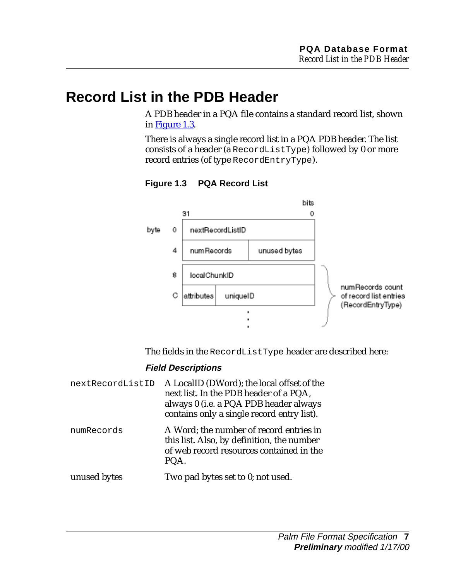## **Record List in the PDB Header**

A PDB header in a PQA file contains a standard record list, shown in Figure 1.3.

There is always a single record list in a PQA PDB header. The list consists of a header (a RecordListType) followed by 0 or more record entries (of type RecordEntryType).



#### **Figure 1.3 PQA Record List**

The fields in the RecordListType header are described here:

#### **Field Descriptions**

| nextRecordListID | A LocalID (DWord); the local offset of the<br>next list. In the PDB header of a PQA,<br>always 0 (i.e. a PQA PDB header always<br>contains only a single record entry list). |
|------------------|------------------------------------------------------------------------------------------------------------------------------------------------------------------------------|
| numRecords       | A Word; the number of record entries in<br>this list. Also, by definition, the number<br>of web record resources contained in the<br>PQA.                                    |
| unused bytes     | Two pad bytes set to 0; not used.                                                                                                                                            |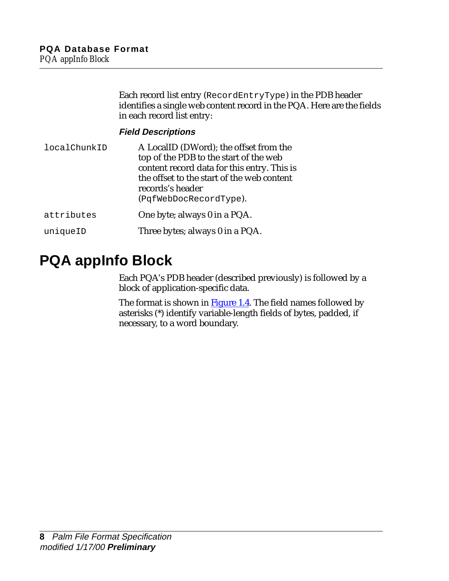|              | Each record list entry (RecordEntryType) in the PDB header<br>identifies a single web content record in the PQA. Here are the fields<br>in each record list entry:                                |
|--------------|---------------------------------------------------------------------------------------------------------------------------------------------------------------------------------------------------|
|              | <b>Field Descriptions</b>                                                                                                                                                                         |
| localChunkID | A LocalID (DWord); the offset from the<br>top of the PDB to the start of the web<br>content record data for this entry. This is<br>the offset to the start of the web content<br>records's header |

(PqfWebDocRecordType).

attributes One byte; always 0 in a PQA.

uniqueID Three bytes; always 0 in a PQA.

## **PQA appInfo Block**

Each PQA's PDB header (described previously) is followed by a block of application-specific data.

The format is shown in Figure 1.4. The field names followed by asterisks (\*) identify variable-length fields of bytes, padded, if necessary, to a word boundary.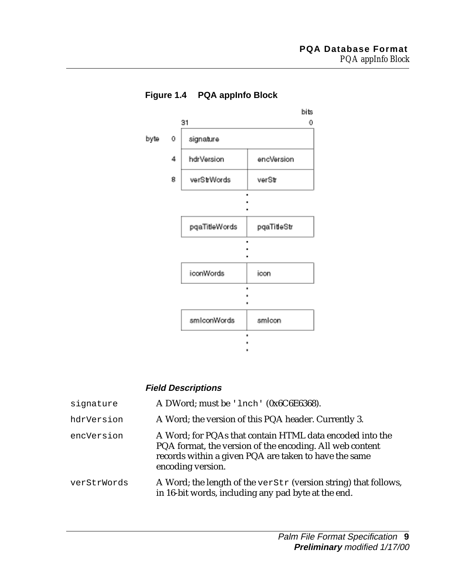

**Figure 1.4 PQA appInfo Block**

#### **Field Descriptions**

| signature   | A DWord; must be 'lnch' (0x6C6E6368).                                                                                                                                                              |
|-------------|----------------------------------------------------------------------------------------------------------------------------------------------------------------------------------------------------|
| hdrVersion  | A Word; the version of this PQA header. Currently 3.                                                                                                                                               |
| encVersion  | A Word; for PQAs that contain HTML data encoded into the<br>PQA format, the version of the encoding. All web content<br>records within a given PQA are taken to have the same<br>encoding version. |
| verStrWords | A Word; the length of the verstr (version string) that follows,<br>in 16-bit words, including any pad byte at the end.                                                                             |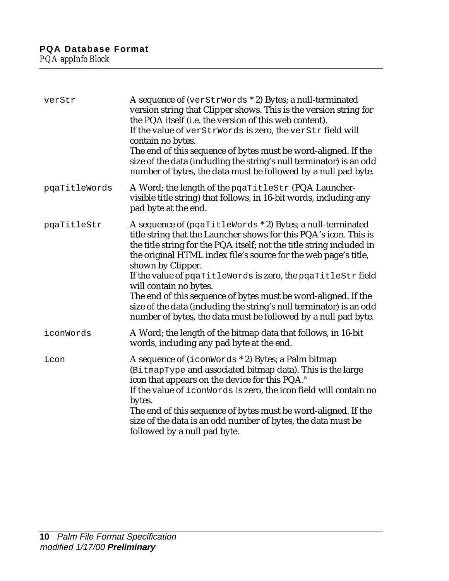| verStr        | A sequence of (verStrWords * 2) Bytes; a null-terminated<br>version string that Clipper shows. This is the version string for<br>the PQA itself (i.e. the version of this web content).<br>If the value of verStrWords is zero, the verStr field will<br>contain no bytes.<br>The end of this sequence of bytes must be word-aligned. If the<br>size of the data (including the string's null terminator) is an odd<br>number of bytes, the data must be followed by a null pad byte.                                                                                                                 |
|---------------|-------------------------------------------------------------------------------------------------------------------------------------------------------------------------------------------------------------------------------------------------------------------------------------------------------------------------------------------------------------------------------------------------------------------------------------------------------------------------------------------------------------------------------------------------------------------------------------------------------|
| pqaTitleWords | A Word; the length of the pqaTitleStr (PQA Launcher-<br>visible title string) that follows, in 16-bit words, including any<br>pad byte at the end.                                                                                                                                                                                                                                                                                                                                                                                                                                                    |
| pqaTitleStr   | A sequence of (pqaTitleWords * 2) Bytes; a null-terminated<br>title string that the Launcher shows for this PQA's icon. This is<br>the title string for the PQA itself; not the title string included in<br>the original HTML index file's source for the web page's title,<br>shown by Clipper.<br>If the value of pqaTitleWords is zero, the pqaTitleStr field<br>will contain no bytes.<br>The end of this sequence of bytes must be word-aligned. If the<br>size of the data (including the string's null terminator) is an odd<br>number of bytes, the data must be followed by a null pad byte. |
| iconWords     | A Word; the length of the bitmap data that follows, in 16-bit<br>words, including any pad byte at the end.                                                                                                                                                                                                                                                                                                                                                                                                                                                                                            |
| icon          | A sequence of (iconWords * 2) Bytes; a Palm bitmap<br>(BitmapType and associated bitmap data). This is the large<br>icon that appears on the device for this PQA. <sup>a</sup><br>If the value of iconwords is zero, the icon field will contain no<br>bytes.<br>The end of this sequence of bytes must be word-aligned. If the<br>size of the data is an odd number of bytes, the data must be<br>followed by a null pad byte.                                                                                                                                                                       |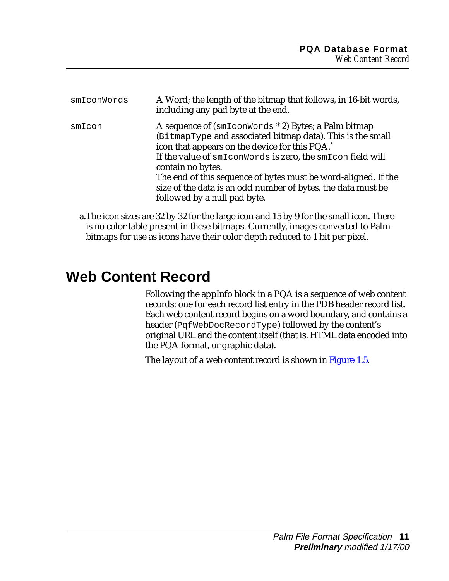| smIconWords | A Word; the length of the bitmap that follows, in 16-bit words,<br>including any pad byte at the end.                                                                                                                                                                                                                                                                                                                                 |
|-------------|---------------------------------------------------------------------------------------------------------------------------------------------------------------------------------------------------------------------------------------------------------------------------------------------------------------------------------------------------------------------------------------------------------------------------------------|
| smIcon      | A sequence of (smIconWords * 2) Bytes; a Palm bitmap<br>(BitmapType and associated bitmap data). This is the small<br>icon that appears on the device for this PQA. <sup>*</sup><br>If the value of smIconWords is zero, the smIcon field will<br>contain no bytes.<br>The end of this sequence of bytes must be word-aligned. If the<br>size of the data is an odd number of bytes, the data must be<br>followed by a null pad byte. |

a.The icon sizes are 32 by 32 for the large icon and 15 by 9 for the small icon. There is no color table present in these bitmaps. Currently, images converted to Palm bitmaps for use as icons have their color depth reduced to 1 bit per pixel.

## **Web Content Record**

Following the appInfo block in a PQA is a sequence of web content records; one for each record list entry in the PDB header record list. Each web content record begins on a word boundary, and contains a header (PqfWebDocRecordType) followed by the content's original URL and the content itself (that is, HTML data encoded into the PQA format, or graphic data).

The layout of a web content record is shown in Figure 1.5.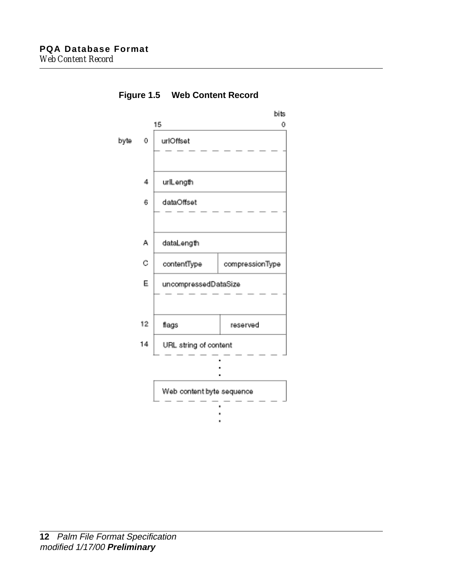

**Figure 1.5 Web Content Record**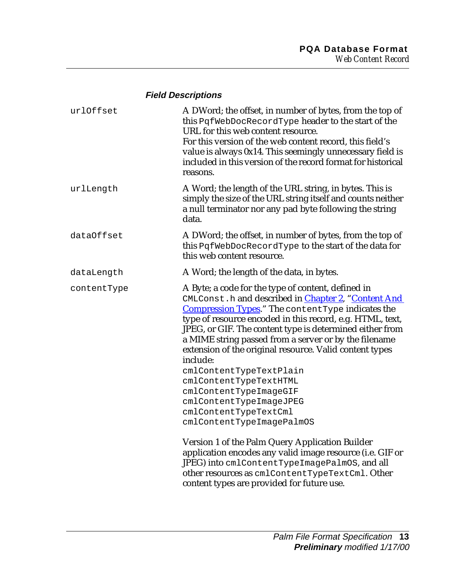#### **Field Descriptions**

| urlOffset   | A DWord; the offset, in number of bytes, from the top of<br>this PqfWebDocRecordType header to the start of the<br>URL for this web content resource.<br>For this version of the web content record, this field's<br>value is always 0x14. This seemingly unnecessary field is<br>included in this version of the record format for historical<br>reasons.                                                                                                                                                                                                                               |
|-------------|------------------------------------------------------------------------------------------------------------------------------------------------------------------------------------------------------------------------------------------------------------------------------------------------------------------------------------------------------------------------------------------------------------------------------------------------------------------------------------------------------------------------------------------------------------------------------------------|
| urlLength   | A Word; the length of the URL string, in bytes. This is<br>simply the size of the URL string itself and counts neither<br>a null terminator nor any pad byte following the string<br>data.                                                                                                                                                                                                                                                                                                                                                                                               |
| dataOffset  | A DWord; the offset, in number of bytes, from the top of<br>this PqfWebDocRecordType to the start of the data for<br>this web content resource.                                                                                                                                                                                                                                                                                                                                                                                                                                          |
| dataLength  | A Word; the length of the data, in bytes.                                                                                                                                                                                                                                                                                                                                                                                                                                                                                                                                                |
| contentType | A Byte; a code for the type of content, defined in<br>CMLConst.h and described in Chapter 2, "Content And<br>Compression Types." The content Type indicates the<br>type of resource encoded in this record, e.g. HTML, text,<br>JPEG, or GIF. The content type is determined either from<br>a MIME string passed from a server or by the filename<br>extension of the original resource. Valid content types<br>include:<br>cmlContentTypeTextPlain<br>cmlContentTypeTextHTML<br>cmlContentTypeImageGIF<br>cmlContentTypeImageJPEG<br>cmlContentTypeTextCml<br>cmlContentTypeImagePalmOS |
|             | Version 1 of the Palm Query Application Builder<br>application encodes any valid image resource (i.e. GIF or<br>JPEG) into cmlContentTypeImagePalmOS, and all                                                                                                                                                                                                                                                                                                                                                                                                                            |
|             | other resources as cmlContentTypeTextCml. Other<br>content types are provided for future use.                                                                                                                                                                                                                                                                                                                                                                                                                                                                                            |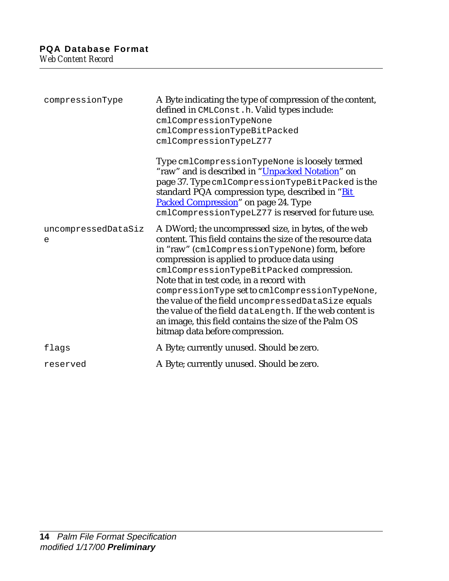| compressionType          | A Byte indicating the type of compression of the content,<br>defined in CMLConst.h. Valid types include:<br>cmlCompressionTypeNone<br>cmlCompressionTypeBitPacked<br>cmlCompressionTypeLZ77                                                                                                                                                                                                                                                                                                                                                                                  |
|--------------------------|------------------------------------------------------------------------------------------------------------------------------------------------------------------------------------------------------------------------------------------------------------------------------------------------------------------------------------------------------------------------------------------------------------------------------------------------------------------------------------------------------------------------------------------------------------------------------|
|                          | Type cmlCompressionTypeNone is loosely termed<br>"raw" and is described in "Unpacked Notation" on<br>page 37. Type cmlCompressionTypeBitPacked is the<br>standard PQA compression type, described in "Bit<br>Packed Compression" on page 24. Type<br>cmlCompressionTypeLZ77 is reserved for future use.                                                                                                                                                                                                                                                                      |
| uncompressedDataSiz<br>e | A DWord; the uncompressed size, in bytes, of the web<br>content. This field contains the size of the resource data<br>in "raw" (cmlCompressionTypeNone) form, before<br>compression is applied to produce data using<br>cmlCompressionTypeBitPacked compression.<br>Note that in test code, in a record with<br>compressionType set to cmlCompressionTypeNone,<br>the value of the field uncompressedDataSize equals<br>the value of the field dataLength. If the web content is<br>an image, this field contains the size of the Palm OS<br>bitmap data before compression. |
| flags                    | A Byte; currently unused. Should be zero.                                                                                                                                                                                                                                                                                                                                                                                                                                                                                                                                    |
| reserved                 | A Byte; currently unused. Should be zero.                                                                                                                                                                                                                                                                                                                                                                                                                                                                                                                                    |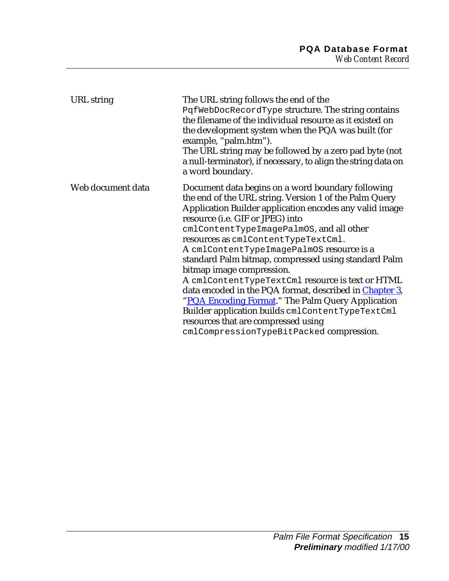| <b>URL</b> string | The URL string follows the end of the<br>PqfWebDocRecordType structure. The string contains<br>the filename of the individual resource as it existed on<br>the development system when the PQA was built (for<br>example, "palm.htm").<br>The URL string may be followed by a zero pad byte (not<br>a null-terminator), if necessary, to align the string data on<br>a word boundary.                                                                                                                                                                                                                                                                                                                                                      |
|-------------------|--------------------------------------------------------------------------------------------------------------------------------------------------------------------------------------------------------------------------------------------------------------------------------------------------------------------------------------------------------------------------------------------------------------------------------------------------------------------------------------------------------------------------------------------------------------------------------------------------------------------------------------------------------------------------------------------------------------------------------------------|
| Web document data | Document data begins on a word boundary following<br>the end of the URL string. Version 1 of the Palm Query<br>Application Builder application encodes any valid image<br>resource (i.e. GIF or JPEG) into<br>cmlContentTypeImagePalmOS, and all other<br>resources as cmlContentTypeTextCml.<br>A cmlContentTypeImagePalmOS resource is a<br>standard Palm bitmap, compressed using standard Palm<br>bitmap image compression.<br>A cmlContentTypeTextCml resource is text or HTML<br>data encoded in the PQA format, described in Chapter 3,<br>"PQA Encoding Format." The Palm Query Application<br>Builder application builds cmlContentTypeTextCml<br>resources that are compressed using<br>cmlCompressionTypeBitPacked compression. |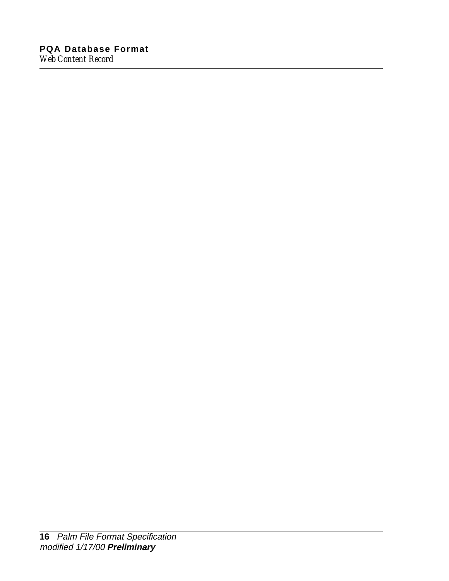#### **PQA Database Format** *Web Content Record*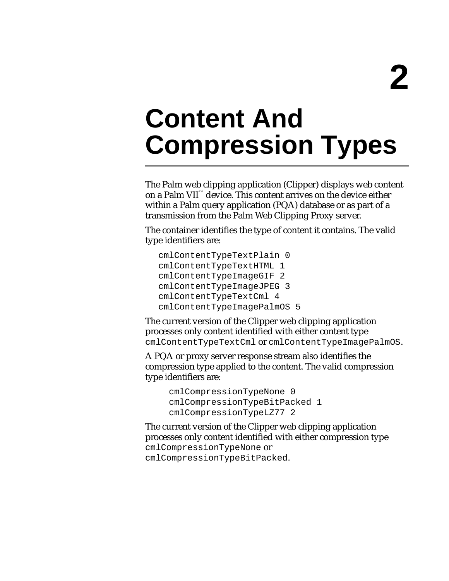## **Content And Compression Types**

The Palm web clipping application (Clipper) displays web content on a Palm VII™ device. This content arrives on the device either within a Palm query application (PQA) database or as part of a transmission from the Palm Web Clipping Proxy server.

The container identifies the type of content it contains. The valid type identifiers are:

```
cmlContentTypeTextPlain 0
cmlContentTypeTextHTML 1
cmlContentTypeImageGIF 2
cmlContentTypeImageJPEG 3
cmlContentTypeTextCml 4
cmlContentTypeImagePalmOS 5
```
The current version of the Clipper web clipping application processes only content identified with either content type cmlContentTypeTextCml or cmlContentTypeImagePalmOS.

A PQA or proxy server response stream also identifies the compression type applied to the content. The valid compression type identifiers are:

```
cmlCompressionTypeNone 0
cmlCompressionTypeBitPacked 1
cmlCompressionTypeLZ77 2
```
The current version of the Clipper web clipping application processes only content identified with either compression type cmlCompressionTypeNone or

cmlCompressionTypeBitPacked.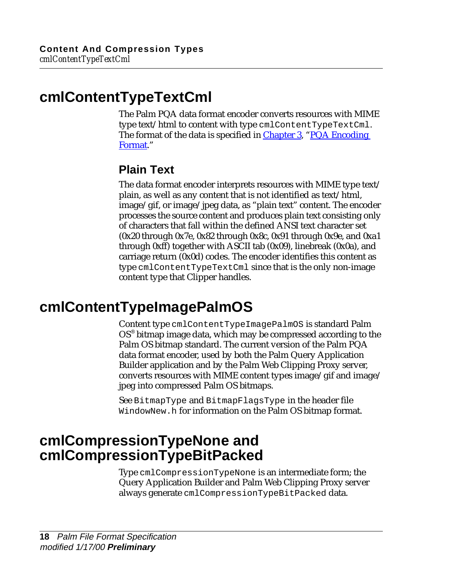## **cmlContentTypeTextCml**

The Palm PQA data format encoder converts resources with MIME type text/html to content with type cmlContentTypeTextCml. The format of the data is specified in Chapter 3, "PQA Encoding Format."

#### **Plain Text**

The data format encoder interprets resources with MIME type text/ plain, as well as any content that is not identified as text/html, image/gif, or image/jpeg data, as "plain text" content. The encoder processes the source content and produces plain text consisting only of characters that fall within the defined ANSI text character set (0x20 through 0x7e, 0x82 through 0x8c, 0x91 through 0x9e, and 0xa1 through 0xff) together with ASCII tab (0x09), linebreak (0x0a), and carriage return (0x0d) codes. The encoder identifies this content as type cmlContentTypeTextCml since that is the only non-image content type that Clipper handles.

## **cmlContentTypeImagePalmOS**

Content type cmlContentTypeImagePalmOS is standard Palm OS® bitmap image data, which may be compressed according to the Palm OS bitmap standard. The current version of the Palm PQA data format encoder, used by both the Palm Query Application Builder application and by the Palm Web Clipping Proxy server, converts resources with MIME content types image/gif and image/ jpeg into compressed Palm OS bitmaps.

See BitmapType and BitmapFlagsType in the header file WindowNew.h for information on the Palm OS bitmap format.

### **cmlCompressionTypeNone and cmlCompressionTypeBitPacked**

Type cmlCompressionTypeNone is an intermediate form; the Query Application Builder and Palm Web Clipping Proxy server always generate cmlCompressionTypeBitPacked data.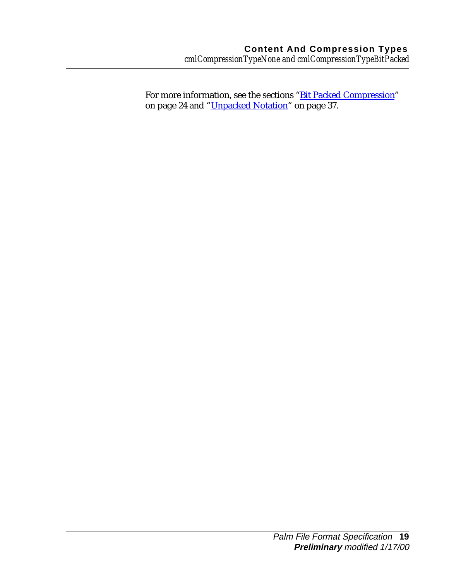For more information, see the sections "<u>Bit Packed Compression</u>" on page 24 and "<u>Unpacked Notation</u>" on page 37.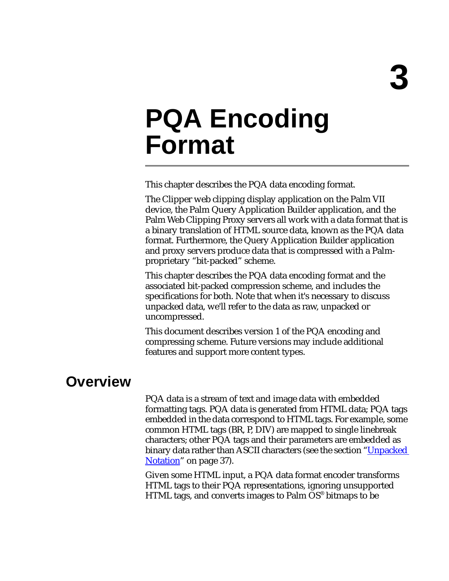## **PQA Encoding Format**

This chapter describes the PQA data encoding format.

The Clipper web clipping display application on the Palm VII device, the Palm Query Application Builder application, and the Palm Web Clipping Proxy servers all work with a data format that is a binary translation of HTML source data, known as the PQA data format. Furthermore, the Query Application Builder application and proxy servers produce data that is compressed with a Palmproprietary "bit-packed" scheme.

This chapter describes the PQA data encoding format and the associated bit-packed compression scheme, and includes the specifications for both. Note that when it's necessary to discuss unpacked data, we'll refer to the data as raw, unpacked or uncompressed.

This document describes version 1 of the PQA encoding and compressing scheme. Future versions may include additional features and support more content types.

#### **Overview**

PQA data is a stream of text and image data with embedded formatting tags. PQA data is generated from HTML data; PQA tags embedded in the data correspond to HTML tags. For example, some common HTML tags (BR, P, DIV) are mapped to single linebreak characters; other PQA tags and their parameters are embedded as binary data rather than ASCII characters (see the section "Unpacked Notation" on page 37).

Given some HTML input, a PQA data format encoder transforms HTML tags to their PQA representations, ignoring unsupported HTML tags, and converts images to Palm OS® bitmaps to be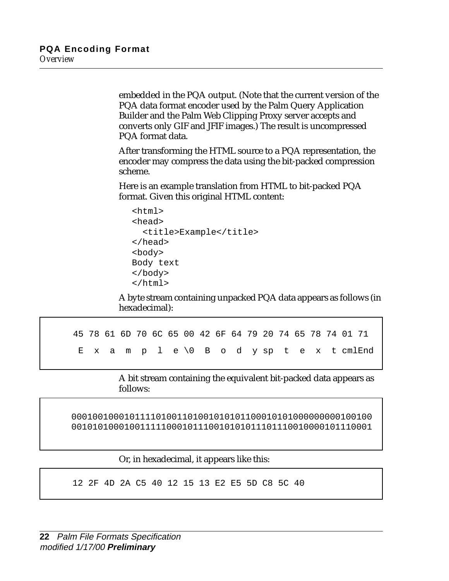embedded in the PQA output. (Note that the current version of the PQA data format encoder used by the Palm Query Application Builder and the Palm Web Clipping Proxy server accepts and converts only GIF and JFIF images.) The result is uncompressed PQA format data.

After transforming the HTML source to a PQA representation, the encoder may compress the data using the bit-packed compression scheme.

Here is an example translation from HTML to bit-packed PQA format. Given this original HTML content:

```
<h+ml><head>
  <title>Example</title>
</head>
<body>
Body text
</body>
</html>
```
A byte stream containing unpacked PQA data appears as follows (in hexadecimal):

45 78 61 6D 70 6C 65 00 42 6F 64 79 20 74 65 78 74 01 71 E x a m p l e \0 B o d y sp t e x t cmlEnd

> A bit stream containing the equivalent bit-packed data appears as follows:

000100100010111101001101001010101100010101000000000100100 001010100010011111000101110010101011101110010000101110001

Or, in hexadecimal, it appears like this:

12 2F 4D 2A C5 40 12 15 13 E2 E5 5D C8 5C 40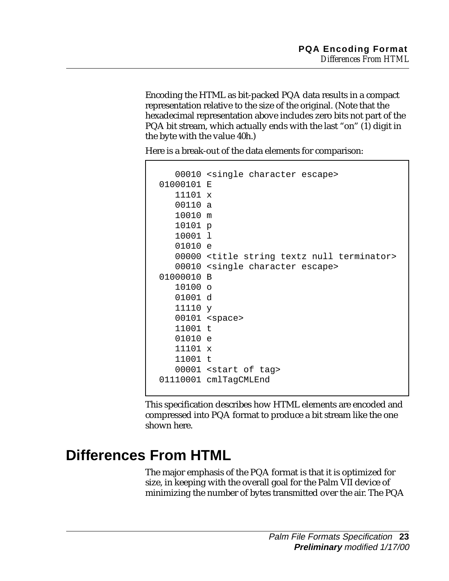Encoding the HTML as bit-packed PQA data results in a compact representation relative to the size of the original. (Note that the hexadecimal representation above includes zero bits not part of the PQA bit stream, which actually ends with the last "on" (1) digit in the byte with the value 40h.)

Here is a break-out of the data elements for comparison:

```
 00010 <single character escape>
01000101 E
    11101 x
    00110 a
    10010 m
    10101 p
    10001 l
    01010 e
    00000 <title string textz null terminator>
    00010 <single character escape>
01000010 B
    10100 o
    01001 d
    11110 y
    00101 <space>
    11001 t
    01010 e
    11101 x
    11001 t
    00001 <start of tag>
01110001 cmlTagCMLEnd
```
This specification describes how HTML elements are encoded and compressed into PQA format to produce a bit stream like the one shown here.

## **Differences From HTML**

The major emphasis of the PQA format is that it is optimized for size, in keeping with the overall goal for the Palm VII device of minimizing the number of bytes transmitted over the air. The PQA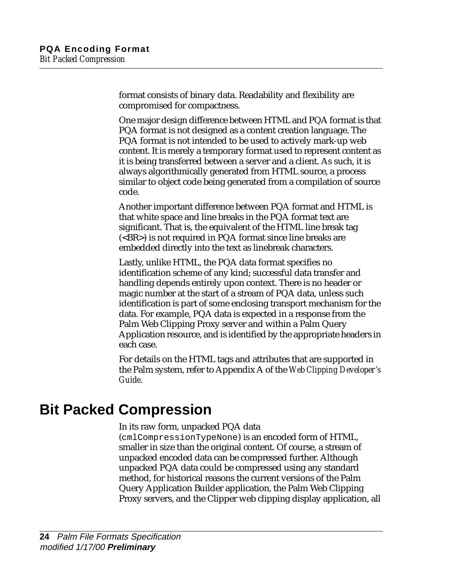format consists of binary data. Readability and flexibility are compromised for compactness.

One major design difference between HTML and PQA format is that PQA format is not designed as a content creation language. The PQA format is not intended to be used to actively mark-up web content. It is merely a temporary format used to represent content as it is being transferred between a server and a client. As such, it is always algorithmically generated from HTML source, a process similar to object code being generated from a compilation of source code.

Another important difference between PQA format and HTML is that white space and line breaks in the PQA format text are significant. That is, the equivalent of the HTML line break tag (<BR>) is not required in PQA format since line breaks are embedded directly into the text as linebreak characters.

Lastly, unlike HTML, the PQA data format specifies no identification scheme of any kind; successful data transfer and handling depends entirely upon context. There is no header or magic number at the start of a stream of PQA data, unless such identification is part of some enclosing transport mechanism for the data. For example, PQA data is expected in a response from the Palm Web Clipping Proxy server and within a Palm Query Application resource, and is identified by the appropriate headers in each case.

For details on the HTML tags and attributes that are supported in the Palm system, refer to Appendix A of the *Web Clipping Developer's Guide*.

### **Bit Packed Compression**

In its raw form, unpacked PQA data

(cmlCompressionTypeNone) is an encoded form of HTML, smaller in size than the original content. Of course, a stream of unpacked encoded data can be compressed further. Although unpacked PQA data could be compressed using any standard method, for historical reasons the current versions of the Palm Query Application Builder application, the Palm Web Clipping Proxy servers, and the Clipper web clipping display application, all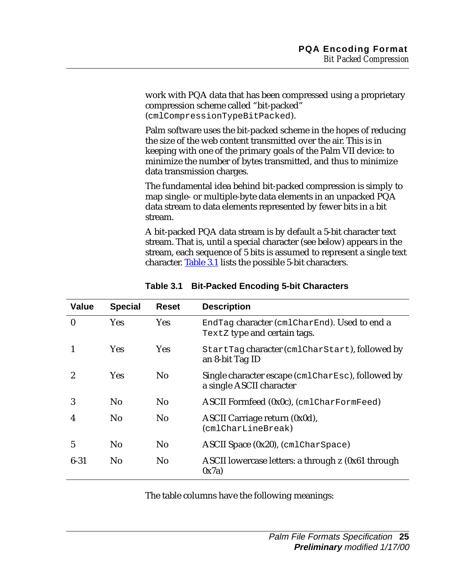work with PQA data that has been compressed using a proprietary compression scheme called "bit-packed" (cmlCompressionTypeBitPacked).

Palm software uses the bit-packed scheme in the hopes of reducing the size of the web content transmitted over the air. This is in keeping with one of the primary goals of the Palm VII device: to minimize the number of bytes transmitted, and thus to minimize data transmission charges.

The fundamental idea behind bit-packed compression is simply to map single- or multiple-byte data elements in an unpacked PQA data stream to data elements represented by fewer bits in a bit stream.

A bit-packed PQA data stream is by default a 5-bit character text stream. That is, until a special character (see below) appears in the stream, each sequence of 5 bits is assumed to represent a single text character. Table 3.1 lists the possible 5-bit characters.

| <b>Value</b>   | <b>Special</b> | <b>Reset</b>   | <b>Description</b>                                                            |  |
|----------------|----------------|----------------|-------------------------------------------------------------------------------|--|
| $\bf{0}$       | Yes            | Yes            | EndTag character (cmlCharEnd). Used to end a<br>TextZ type and certain tags.  |  |
|                | Yes            | Yes            | StartTag character (cmlCharStart), followed by<br>an 8-bit Tag ID             |  |
| 2              | <b>Yes</b>     | No             | Single character escape (cmlCharEsc), followed by<br>a single ASCII character |  |
| 3              | No             | No             | ASCII Formfeed (0x0c), (cmlCharFormFeed)                                      |  |
| 4              | No             | No.            | ASCII Carriage return (0x0d),<br>(cmlCharLineBreak)                           |  |
| $\overline{5}$ | No             | No             | ASCII Space (0x20), (cmlCharSpace)                                            |  |
| $6 - 31$       | N <sub>0</sub> | N <sub>0</sub> | ASCII lowercase letters: a through z (0x61 through<br>0x7a)                   |  |

|  | Table 3.1 Bit-Packed Encoding 5-bit Characters |  |  |  |
|--|------------------------------------------------|--|--|--|
|--|------------------------------------------------|--|--|--|

The table columns have the following meanings: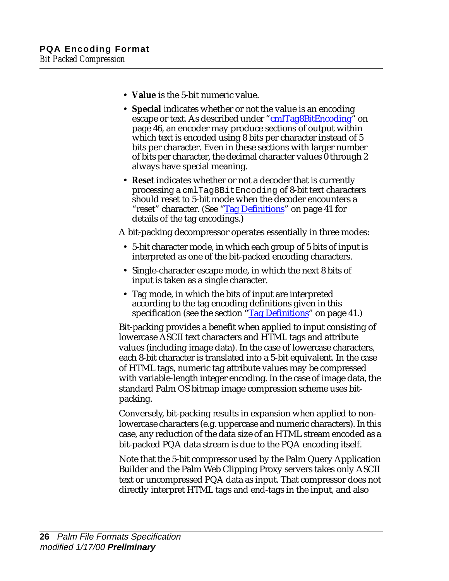- **Value** is the 5-bit numeric value.
- **Special** indicates whether or not the value is an encoding escape or text. As described under "cmlTag8BitEncoding" on page 46, an encoder may produce sections of output within which text is encoded using 8 bits per character instead of 5 bits per character. Even in these sections with larger number of bits per character, the decimal character values 0 through 2 always have special meaning.
- **Reset** indicates whether or not a decoder that is currently processing a cmlTag8BitEncoding of 8-bit text characters should reset to 5-bit mode when the decoder encounters a "reset" character. (See "Tag Definitions" on page 41 for details of the tag encodings.)

A bit-packing decompressor operates essentially in three modes:

- 5-bit character mode, in which each group of 5 bits of input is interpreted as one of the bit-packed encoding characters.
- Single-character escape mode, in which the next 8 bits of input is taken as a single character.
- Tag mode, in which the bits of input are interpreted according to the tag encoding definitions given in this specification (see the section "Tag Definitions" on page 41.)

Bit-packing provides a benefit when applied to input consisting of lowercase ASCII text characters and HTML tags and attribute values (including image data). In the case of lowercase characters, each 8-bit character is translated into a 5-bit equivalent. In the case of HTML tags, numeric tag attribute values may be compressed with variable-length integer encoding. In the case of image data, the standard Palm OS bitmap image compression scheme uses bitpacking.

Conversely, bit-packing results in expansion when applied to nonlowercase characters (e.g. uppercase and numeric characters). In this case, any reduction of the data size of an HTML stream encoded as a bit-packed PQA data stream is due to the PQA encoding itself.

Note that the 5-bit compressor used by the Palm Query Application Builder and the Palm Web Clipping Proxy servers takes only ASCII text or uncompressed PQA data as input. That compressor does not directly interpret HTML tags and end-tags in the input, and also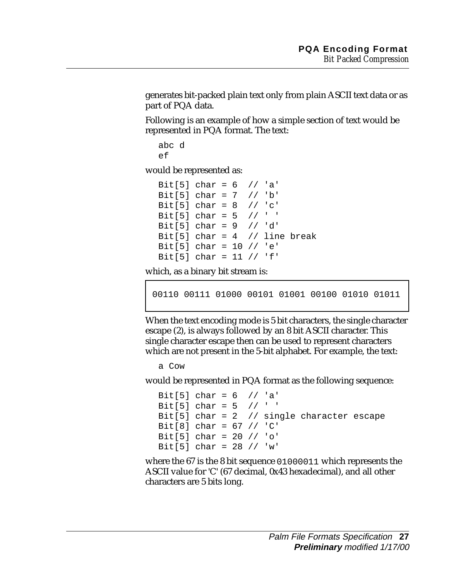generates bit-packed plain text only from plain ASCII text data or as part of PQA data.

Following is an example of how a simple section of text would be represented in PQA format. The text:

```
abc d
ef
```
would be represented as:

```
Bit[5] char = 6 // 'a'
Bit[5] char = 7 // 'b'
Bit[5] char = 8 // 'c'
Bit[5] char = 5 / / ' '
Bit[5] char = 9 // 'd'
Bit[5] char = 4 // line break
Bit[5] char = 10 // 'e'
Bit[5] char = 11 // 'f'
```
which, as a binary bit stream is:

```
00110 00111 01000 00101 01001 00100 01010 01011
```
When the text encoding mode is 5 bit characters, the single character escape (2), is always followed by an 8 bit ASCII character. This single character escape then can be used to represent characters which are not present in the 5-bit alphabet. For example, the text:

```
a Cow
```
would be represented in PQA format as the following sequence:

```
Bit[5] char = 6 // 'a'
Bit[5] char = 5 // ' '
Bit[5] char = 2 \frac{1}{2} single character escape
Bit[8] char = 67 // °C'Bit[5] char = 20 // 'o'
Bit[5] char = 28 // 'w'
```
where the 67 is the 8 bit sequence 01000011 which represents the ASCII value for 'C' (67 decimal, 0x43 hexadecimal), and all other characters are 5 bits long.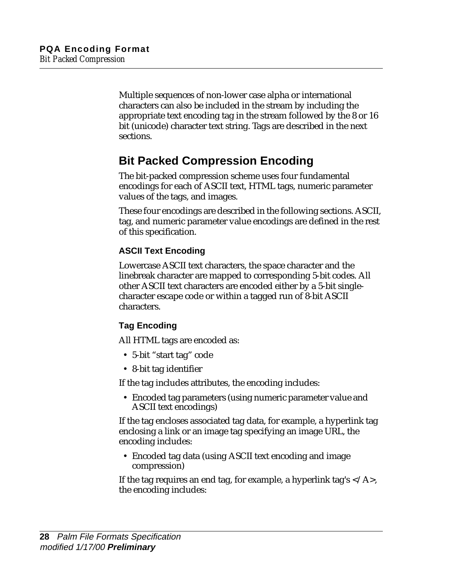Multiple sequences of non-lower case alpha or international characters can also be included in the stream by including the appropriate text encoding tag in the stream followed by the 8 or 16 bit (unicode) character text string. Tags are described in the next sections.

### **Bit Packed Compression Encoding**

The bit-packed compression scheme uses four fundamental encodings for each of ASCII text, HTML tags, numeric parameter values of the tags, and images.

These four encodings are described in the following sections. ASCII, tag, and numeric parameter value encodings are defined in the rest of this specification.

#### **ASCII Text Encoding**

Lowercase ASCII text characters, the space character and the linebreak character are mapped to corresponding 5-bit codes. All other ASCII text characters are encoded either by a 5-bit singlecharacter escape code or within a tagged run of 8-bit ASCII characters.

#### **Tag Encoding**

All HTML tags are encoded as:

- 5-bit "start tag" code
- 8-bit tag identifier

If the tag includes attributes, the encoding includes:

• Encoded tag parameters (using numeric parameter value and ASCII text encodings)

If the tag encloses associated tag data, for example, a hyperlink tag enclosing a link or an image tag specifying an image URL, the encoding includes:

• Encoded tag data (using ASCII text encoding and image compression)

If the tag requires an end tag, for example, a hyperlink tag's  $\langle A \rangle$ , the encoding includes: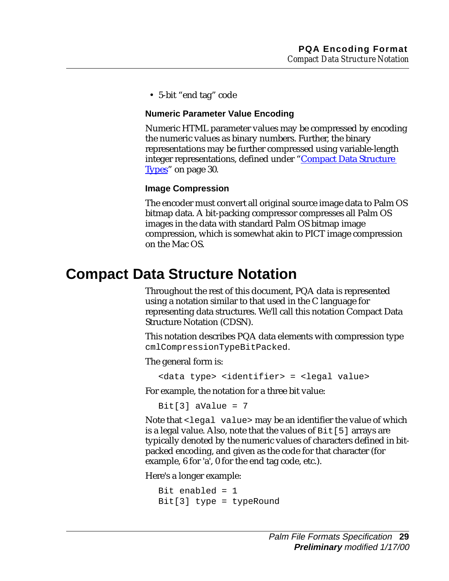• 5-bit "end tag" code

#### **Numeric Parameter Value Encoding**

Numeric HTML parameter values may be compressed by encoding the numeric values as binary numbers. Further, the binary representations may be further compressed using variable-length integer representations, defined under "Compact Data Structure Types" on page 30.

#### **Image Compression**

The encoder must convert all original source image data to Palm OS bitmap data. A bit-packing compressor compresses all Palm OS images in the data with standard Palm OS bitmap image compression, which is somewhat akin to PICT image compression on the Mac OS.

## **Compact Data Structure Notation**

Throughout the rest of this document, PQA data is represented using a notation similar to that used in the C language for representing data structures. We'll call this notation Compact Data Structure Notation (CDSN).

This notation describes PQA data elements with compression type cmlCompressionTypeBitPacked.

The general form is:

```
<data type> <identifier> = <legal value>
```
For example, the notation for a three bit value:

```
Bit[3] aValue = 7
```
Note that <legal value> may be an identifier the value of which is a legal value. Also, note that the values of Bit[5] arrays are typically denoted by the numeric values of characters defined in bitpacked encoding, and given as the code for that character (for example, 6 for 'a', 0 for the end tag code, etc.).

Here's a longer example:

Bit enabled = 1 Bit[3] type = typeRound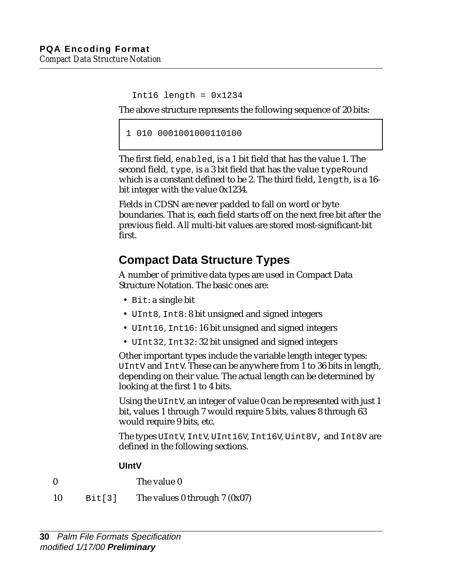```
Int16 length = 0x1234
```
The above structure represents the following sequence of 20 bits:

```
1 010 0001001000110100
```
The first field, enabled, is a 1 bit field that has the value 1. The second field, type, is a 3 bit field that has the value typeRound which is a constant defined to be 2. The third field, length, is a 16 bit integer with the value 0x1234.

Fields in CDSN are never padded to fall on word or byte boundaries. That is, each field starts off on the next free bit after the previous field. All multi-bit values are stored most-significant-bit first.

#### **Compact Data Structure Types**

A number of primitive data types are used in Compact Data Structure Notation. The basic ones are:

- Bit: a single bit
- UInt8, Int8: 8 bit unsigned and signed integers
- UInt16, Int16: 16 bit unsigned and signed integers
- UInt32, Int32: 32 bit unsigned and signed integers

Other important types include the variable length integer types: UIntV and IntV. These can be anywhere from 1 to 36 bits in length, depending on their value. The actual length can be determined by looking at the first 1 to 4 bits.

Using the UIntV, an integer of value 0 can be represented with just 1 bit, values 1 through 7 would require 5 bits, values 8 through 63 would require 9 bits, etc.

The types UIntV, IntV, UInt16V, Int16V, Uint8V, and Int8V are defined in the following sections.

#### **UIntV**

0 The value 0

10 Bit[3] The values 0 through 7 (0x07)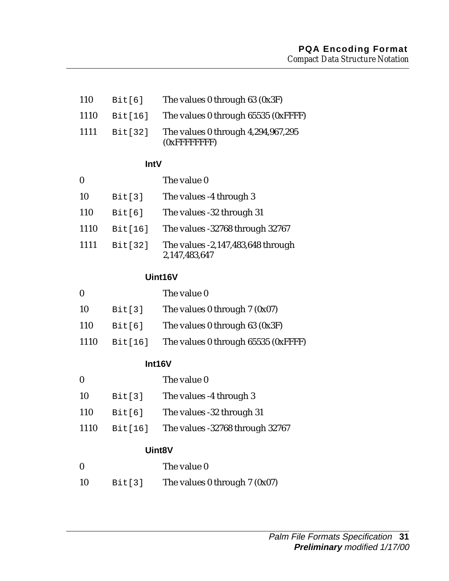| 110  | Bit[6]  | The values 0 through 63 (0x3F)                         |
|------|---------|--------------------------------------------------------|
| 1110 | Bit[16] | The values 0 through 65535 (0xFFFF)                    |
| 1111 | Bit[32] | The values 0 through 4,294,967,295<br>$(0x$ FFFFFFFFFF |

#### **IntV**

| $\boldsymbol{0}$ |         | The value 0                                        |
|------------------|---------|----------------------------------------------------|
| 10               | Bit[3]  | The values -4 through 3                            |
| <b>110</b>       | Bit[6]  | The values -32 through 31                          |
| 1110             | Bit[16] | The values -32768 through 32767                    |
| 1111             | Bit[32] | The values -2,147,483,648 through<br>2,147,483,647 |

#### **Uint16V**

| $\bf{0}$   |         | The value 0                         |
|------------|---------|-------------------------------------|
| <b>10</b>  | Bit[3]  | The values 0 through $7(0x07)$      |
| <b>110</b> | Bit[6]  | The values 0 through 63 (0x3F)      |
| 1110       | Bit[16] | The values 0 through 65535 (0xFFFF) |

#### **Int16V**

| $\bf{0}$   |         | The value 0                     |
|------------|---------|---------------------------------|
| 10         | Bit[3]  | The values -4 through 3         |
| <b>110</b> | Bit[6]  | The values -32 through 31       |
| 1110       | Bit[16] | The values -32768 through 32767 |

#### **Uint8V**

| $\mathbf{0}$ |        | The value 0                    |
|--------------|--------|--------------------------------|
| <b>10</b>    | Bit[3] | The values 0 through $7(0x07)$ |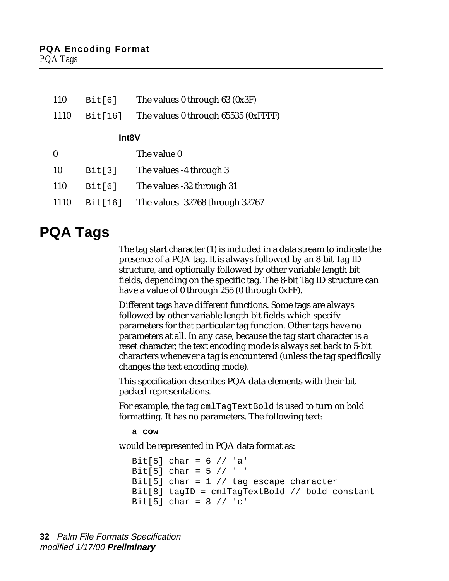| 110  | Bit[6]  | The values 0 through 63 (0x3F)      |
|------|---------|-------------------------------------|
| 1110 | Bit[16] | The values 0 through 65535 (0xFFFF) |
|      |         | Int <sub>8</sub> V                  |
| 0    |         | The value 0                         |
| 10   | Bit[3]  | The values -4 through 3             |
| 110  | Bit[6]  | The values -32 through 31           |
| 1110 | Bit[16] | The values -32768 through 32767     |

# **PQA Tags**

The tag start character (1) is included in a data stream to indicate the presence of a PQA tag. It is always followed by an 8-bit Tag ID structure, and optionally followed by other variable length bit fields, depending on the specific tag. The 8-bit Tag ID structure can have a value of 0 through 255 (0 through 0xFF).

Different tags have different functions. Some tags are always followed by other variable length bit fields which specify parameters for that particular tag function. Other tags have no parameters at all. In any case, because the tag start character is a reset character, the text encoding mode is always set back to 5-bit characters whenever a tag is encountered (unless the tag specifically changes the text encoding mode).

This specification describes PQA data elements with their bitpacked representations.

For example, the tag cmlTagTextBold is used to turn on bold formatting. It has no parameters. The following text:

a **cow**

would be represented in PQA data format as:

```
Bit[5] char = 6 // 'a'Bit[5] char = 5 / / 'Bit[5] char = 1 // tag escape character
Bit[8] tagID = cmlTagTextBold // bold constant
Bit[5] char = 8 // 'c'
```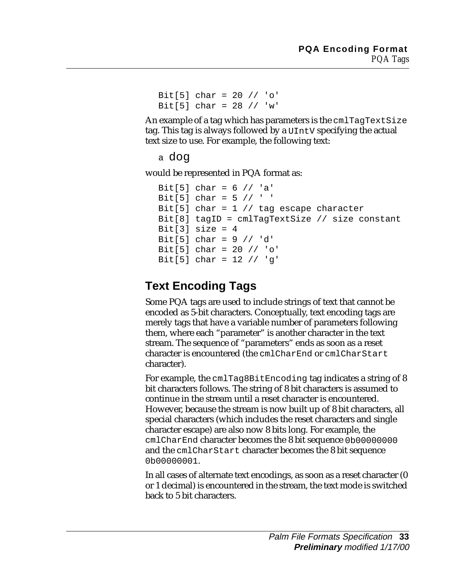```
Bit[5] char = 20 // 'o'
Bit[5] char = 28 // 'w'
```
An example of a tag which has parameters is the cmlTagTextSize tag. This tag is always followed by a UIntV specifying the actual text size to use. For example, the following text:

a dog

would be represented in PQA format as:

```
Bit[5] char = 6 // 'a'
Bit[5] char = 5 // ' 'Bit[5] char = 1 // tag escape character
Bit[8] tagID = cmlTagTextSize // size constant
Bit[3] size = 4Bit[5] char = 9 // 'd'Bit[5] char = 20 // 'o'
Bit[5] char = 12 // 'q'
```
#### **Text Encoding Tags**

Some PQA tags are used to include strings of text that cannot be encoded as 5-bit characters. Conceptually, text encoding tags are merely tags that have a variable number of parameters following them, where each "parameter" is another character in the text stream. The sequence of "parameters" ends as soon as a reset character is encountered (the cmlCharEnd or cmlCharStart character).

For example, the cmlTag8BitEncoding tag indicates a string of 8 bit characters follows. The string of 8 bit characters is assumed to continue in the stream until a reset character is encountered. However, because the stream is now built up of 8 bit characters, all special characters (which includes the reset characters and single character escape) are also now 8 bits long. For example, the cmlCharEnd character becomes the 8 bit sequence 0b00000000 and the cmlCharStart character becomes the 8 bit sequence 0b00000001.

In all cases of alternate text encodings, as soon as a reset character (0 or 1 decimal) is encountered in the stream, the text mode is switched back to 5 bit characters.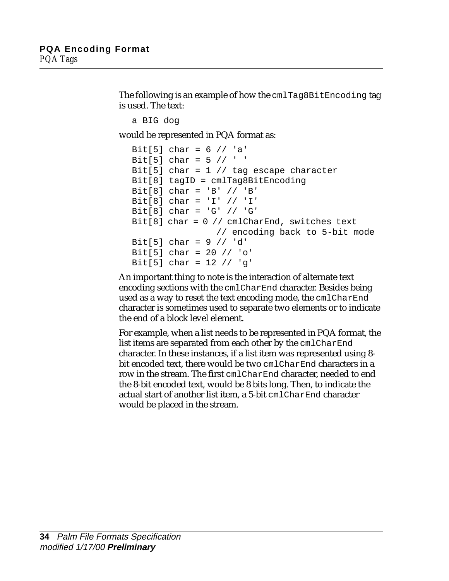The following is an example of how the cmlTag8BitEncoding tag is used. The text:

```
a BIG dog
```
would be represented in PQA format as:

```
Bit[5] char = 6 // 'a'
Bit[5] char = 5 // 'Bit[5] char = 1 // tag escape character
Bit[8] tagID = cmlTag8BitEncoding
Bit[8] char = 'B' // 'B'Bit[8] char = 'I' // 'I'
Bit[8] char = 'G' // 'G'Bit[8] char = 0 // cmlCharEnd, switches text 
                 // encoding back to 5-bit mode
Bit[5] char = 9 // 'd'Bit[5] char = 20 // 'o'
Bit[5] char = 12 // 'g'
```
An important thing to note is the interaction of alternate text encoding sections with the cmlCharEnd character. Besides being used as a way to reset the text encoding mode, the cmlCharEnd character is sometimes used to separate two elements or to indicate the end of a block level element.

For example, when a list needs to be represented in PQA format, the list items are separated from each other by the cmlCharEnd character. In these instances, if a list item was represented using 8 bit encoded text, there would be two cmlCharEnd characters in a row in the stream. The first cmlCharEnd character, needed to end the 8-bit encoded text, would be 8 bits long. Then, to indicate the actual start of another list item, a 5-bit cmlCharEnd character would be placed in the stream.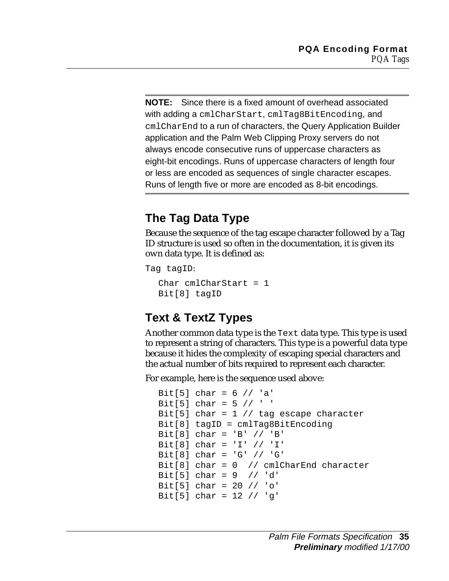**NOTE:** Since there is a fixed amount of overhead associated with adding a cmlCharStart, cmlTag8BitEncoding, and cmlCharEnd to a run of characters, the Query Application Builder application and the Palm Web Clipping Proxy servers do not always encode consecutive runs of uppercase characters as eight-bit encodings. Runs of uppercase characters of length four or less are encoded as sequences of single character escapes. Runs of length five or more are encoded as 8-bit encodings.

### **The Tag Data Type**

Because the sequence of the tag escape character followed by a Tag ID structure is used so often in the documentation, it is given its own data type. It is defined as:

```
Tag tagID: 
  Char cmlCharStart = 1
```

```
Bit[8] tagID
```
## **Text & TextZ Types**

Another common data type is the Text data type. This type is used to represent a string of characters. This type is a powerful data type because it hides the complexity of escaping special characters and the actual number of bits required to represent each character.

For example, here is the sequence used above:

```
Bit[5] char = 6 // 'a'
Bit[5] char = 5 // ' 'Bit[5] char = 1 // tag escape character
Bit[8] tagID = cmlTag8BitEncoding
Bit[8] char = 'B' // 'B'
Bit[8] char = 'I' // 'I'Bit[8] char = 'G' // 'G'Bit[8] char = 0 // cmlCharEnd character
Bit[5] char = 9 // 'd'
Bit[5] char = 20 // 'o'
Bit[5] char = 12 // 'g'
```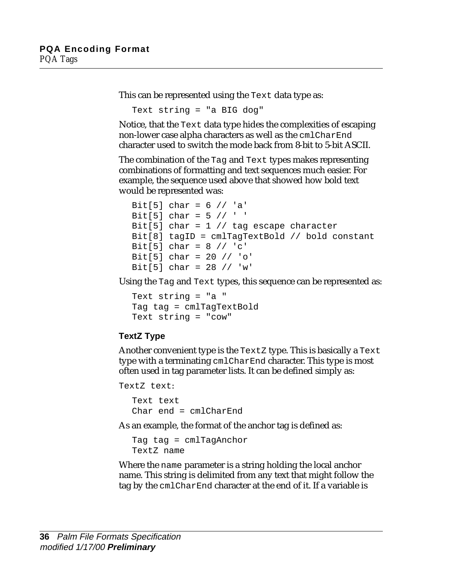This can be represented using the Text data type as:

Text string = "a BIG dog"

Notice, that the Text data type hides the complexities of escaping non-lower case alpha characters as well as the cmlCharEnd character used to switch the mode back from 8-bit to 5-bit ASCII.

The combination of the Tag and Text types makes representing combinations of formatting and text sequences much easier. For example, the sequence used above that showed how bold text would be represented was:

```
Bit[5] char = 6 // 'a'
Bit[5] char = 5 / / 'Bit[5] char = 1 // tag escape character
Bit[8] tagID = cmlTagTextBold // bold constant
Bit[5] char = 8 // 'c'Bit[5] char = 20 // 'o'
Bit[5] char = 28 // 'w'
```
Using the Tag and Text types, this sequence can be represented as:

```
Text string = "a "
Tag tag = cmlTagTextBold
Text string = "cow"
```
#### **TextZ Type**

Another convenient type is the TextZ type. This is basically a Text type with a terminating cmlCharEnd character. This type is most often used in tag parameter lists. It can be defined simply as:

```
TextZ text:
```
Text text Char end = cmlCharEnd

As an example, the format of the anchor tag is defined as:

```
Tag tag = cmlTagAnchor
TextZ name
```
Where the name parameter is a string holding the local anchor name. This string is delimited from any text that might follow the tag by the cmlCharEnd character at the end of it. If a variable is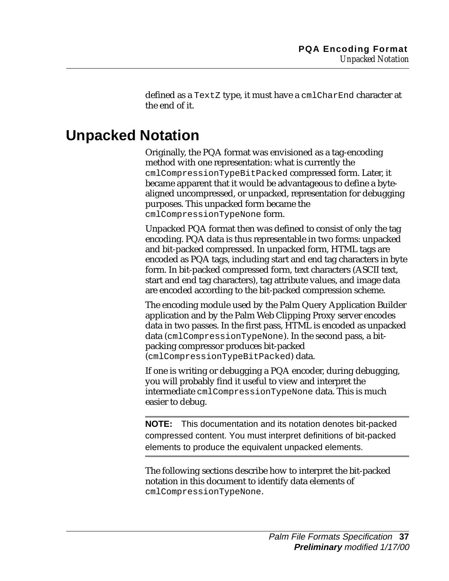defined as a TextZ type, it must have a cmlCharEnd character at the end of it.

## **Unpacked Notation**

Originally, the PQA format was envisioned as a tag-encoding method with one representation: what is currently the cmlCompressionTypeBitPacked compressed form. Later, it became apparent that it would be advantageous to define a bytealigned uncompressed, or unpacked, representation for debugging purposes. This unpacked form became the cmlCompressionTypeNone form.

Unpacked PQA format then was defined to consist of only the tag encoding. PQA data is thus representable in two forms: unpacked and bit-packed compressed. In unpacked form, HTML tags are encoded as PQA tags, including start and end tag characters in byte form. In bit-packed compressed form, text characters (ASCII text, start and end tag characters), tag attribute values, and image data are encoded according to the bit-packed compression scheme.

The encoding module used by the Palm Query Application Builder application and by the Palm Web Clipping Proxy server encodes data in two passes. In the first pass, HTML is encoded as unpacked data (cmlCompressionTypeNone). In the second pass, a bitpacking compressor produces bit-packed (cmlCompressionTypeBitPacked) data.

If one is writing or debugging a PQA encoder, during debugging, you will probably find it useful to view and interpret the intermediate cmlCompressionTypeNone data. This is much easier to debug.

**NOTE:** This documentation and its notation denotes bit-packed compressed content. You must interpret definitions of bit-packed elements to produce the equivalent unpacked elements.

The following sections describe how to interpret the bit-packed notation in this document to identify data elements of cmlCompressionTypeNone.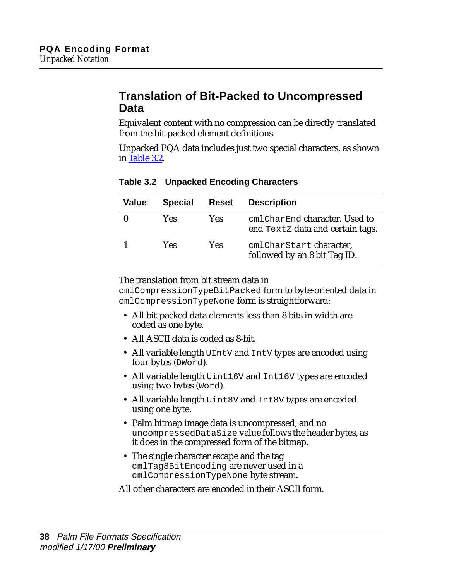#### **Translation of Bit-Packed to Uncompressed Data**

Equivalent content with no compression can be directly translated from the bit-packed element definitions.

Unpacked PQA data includes just two special characters, as shown in Table 3.2.

| <b>Value</b> | <b>Special</b> | <b>Reset</b> | <b>Description</b>                                                 |
|--------------|----------------|--------------|--------------------------------------------------------------------|
|              | Yes.           | Yes          | cmlCharEnd character. Used to<br>end Text Z data and certain tags. |
|              | Yes.           | <b>Yes</b>   | cmlCharStart character,<br>followed by an 8 bit Tag ID.            |

**Table 3.2 Unpacked Encoding Characters**

The translation from bit stream data in

cmlCompressionTypeBitPacked form to byte-oriented data in cmlCompressionTypeNone form is straightforward:

- All bit-packed data elements less than 8 bits in width are coded as one byte.
- All ASCII data is coded as 8-bit.
- All variable length UIntV and IntV types are encoded using four bytes (DWord).
- All variable length Uint16V and Int16V types are encoded using two bytes (Word).
- All variable length Uint8V and Int8V types are encoded using one byte.
- Palm bitmap image data is uncompressed, and no uncompressedDataSize value follows the header bytes, as it does in the compressed form of the bitmap.
- The single character escape and the tag cmlTag8BitEncoding are never used in a cmlCompressionTypeNone byte stream.

All other characters are encoded in their ASCII form.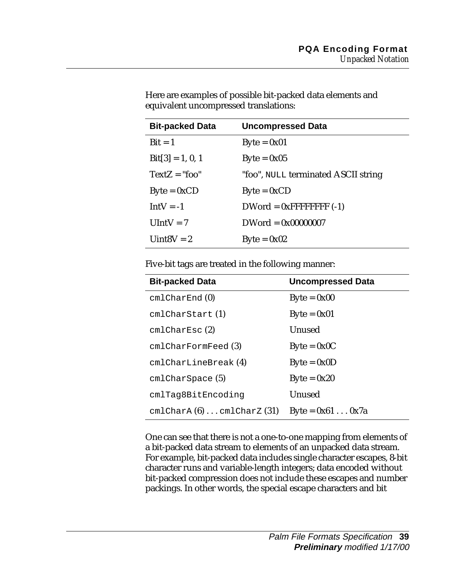| <b>Bit-packed Data</b> | <b>Uncompressed Data</b>            |
|------------------------|-------------------------------------|
| $Bit = 1$              | $Byte = 0x01$                       |
| $Bit[3] = 1, 0, 1$     | $Byte = 0x05$                       |
| $TextZ = "foo"$        | "foo", NULL terminated ASCII string |
| $Byte = 0xCD$          | $Byte = 0xCD$                       |
| $IntV = -1$            | $DWord = 0xFFFFFFFFF(-1)$           |
| $UIntV = 7$            | $DWord = 0x00000007$                |
| Uint $8V = 2$          | $Byte = 0x02$                       |

Here are examples of possible bit-packed data elements and equivalent uncompressed translations:

Five-bit tags are treated in the following manner:

| <b>Bit-packed Data</b>            | <b>Uncompressed Data</b> |
|-----------------------------------|--------------------------|
| $cm1$ CharEnd $(0)$               | $Byte = 0x00$            |
| cm1CharStart(1)                   | $Byte = 0x01$            |
| $cm1$ CharEsc $(2)$               | Unused                   |
| cmlCharFormFeed (3)               | $Byte = 0x0C$            |
| $cm1$ CharLineBreak $(4)$         | $Byte = 0x0D$            |
| $cm1$ CharSpace $(5)$             | $Byte = 0x20$            |
| cmlTaq8BitEncodinq                | Unused                   |
| $cm1CharA(6) \ldots cm1CharZ(31)$ | Byte = $0x610x7a$        |

One can see that there is not a one-to-one mapping from elements of a bit-packed data stream to elements of an unpacked data stream. For example, bit-packed data includes single character escapes, 8-bit character runs and variable-length integers; data encoded without bit-packed compression does not include these escapes and number packings. In other words, the special escape characters and bit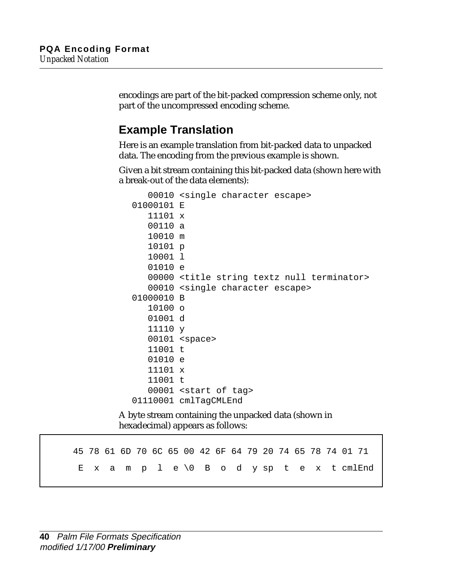encodings are part of the bit-packed compression scheme only, not part of the uncompressed encoding scheme.

### **Example Translation**

Here is an example translation from bit-packed data to unpacked data. The encoding from the previous example is shown.

Given a bit stream containing this bit-packed data (shown here with a break-out of the data elements):

```
 00010 <single character escape>
01000101 E
    11101 x
    00110 a
    10010 m
    10101 p
    10001 l
    01010 e
    00000 <title string textz null terminator>
    00010 <single character escape>
01000010 B
    10100 o
    01001 d
    11110 y
    00101 <space>
    11001 t
    01010 e
    11101 x
    11001 t
    00001 <start of tag>
01110001 cmlTagCMLEnd
```
A byte stream containing the unpacked data (shown in hexadecimal) appears as follows:

45 78 61 6D 70 6C 65 00 42 6F 64 79 20 74 65 78 74 01 71 E x a m p l e \0 B o d y sp t e x t cmlEnd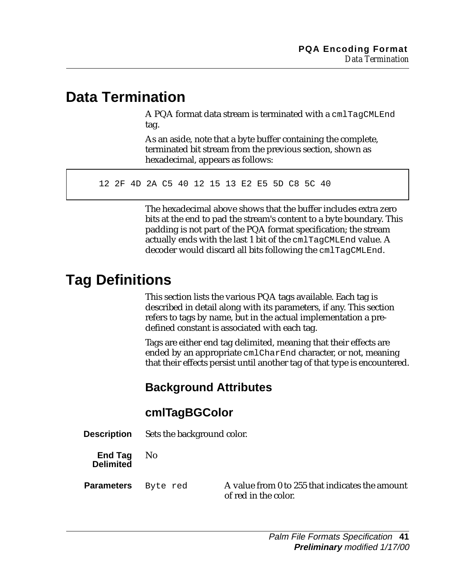## **Data Termination**

A PQA format data stream is terminated with a cmlTagCMLEnd tag.

As an aside, note that a byte buffer containing the complete, terminated bit stream from the previous section, shown as hexadecimal, appears as follows:

12 2F 4D 2A C5 40 12 15 13 E2 E5 5D C8 5C 40

The hexadecimal above shows that the buffer includes extra zero bits at the end to pad the stream's content to a byte boundary. This padding is not part of the PQA format specification; the stream actually ends with the last 1 bit of the cmlTagCMLEnd value. A decoder would discard all bits following the cmlTagCMLEnd.

## **Tag Definitions**

This section lists the various PQA tags available. Each tag is described in detail along with its parameters, if any. This section refers to tags by name, but in the actual implementation a predefined constant is associated with each tag.

Tags are either end tag delimited, meaning that their effects are ended by an appropriate cmlCharEnd character, or not, meaning that their effects persist until another tag of that type is encountered.

### **Background Attributes**

#### **cmlTagBGColor**

**Description** Sets the background color.

**End Tag Delimited** No

**Parameters** Byte red A value from 0 to 255 that indicates the amount of red in the color.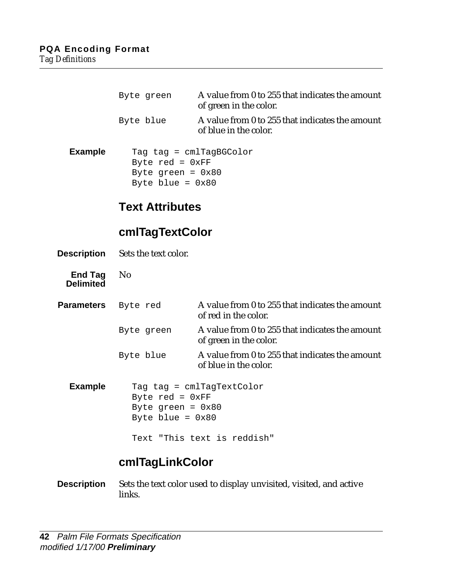|                                    | Byte green                                                                                | A value from 0 to 255 that indicates the amount<br>of green in the color. |
|------------------------------------|-------------------------------------------------------------------------------------------|---------------------------------------------------------------------------|
|                                    | Byte blue                                                                                 | A value from 0 to 255 that indicates the amount<br>of blue in the color.  |
| <b>Example</b>                     | Tag tag = cmlTagBGColor<br>Byte $red = 0xFF$<br>Byte green = $0x80$<br>Byte blue = $0x80$ |                                                                           |
|                                    | <b>Text Attributes</b>                                                                    |                                                                           |
|                                    | cmlTagTextColor                                                                           |                                                                           |
| <b>Description</b>                 | Sets the text color.                                                                      |                                                                           |
| <b>End Tag</b><br><b>Delimited</b> | <b>No</b>                                                                                 |                                                                           |
| <b>Parameters</b>                  | Byte red                                                                                  | A value from 0 to 255 that indicates the amount<br>of red in the color.   |
|                                    | Byte green                                                                                | A value from 0 to 255 that indicates the amount<br>of green in the color. |
|                                    | Byte blue                                                                                 | A value from 0 to 255 that indicates the amount<br>of blue in the color.  |
| <b>Example</b>                     | Byte $red = 0xFF$<br>Byte green = $0x80$<br>Byte $blue = 0x80$                            | Tag tag = cmlTagTextColor                                                 |
|                                    |                                                                                           | Text "This text is reddish"                                               |
|                                    | cmlTagLinkColor                                                                           |                                                                           |

**Description** Sets the text color used to display unvisited, visited, and active links.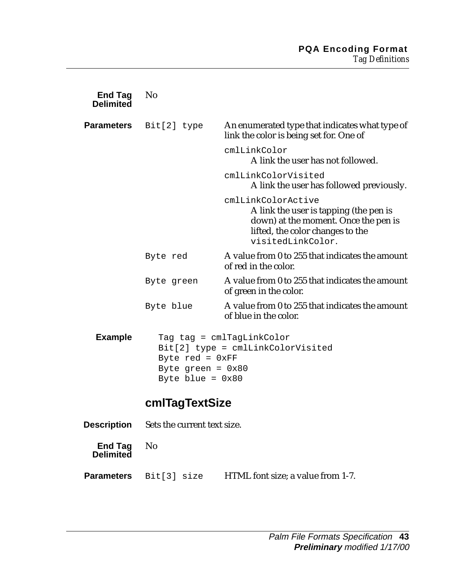| <b>End Tag</b><br><b>Delimited</b> | <b>No</b>                                                                                                                        |                                                                                                                                                               |
|------------------------------------|----------------------------------------------------------------------------------------------------------------------------------|---------------------------------------------------------------------------------------------------------------------------------------------------------------|
| <b>Parameters</b>                  | Bit[2] type                                                                                                                      | An enumerated type that indicates what type of<br>link the color is being set for. One of                                                                     |
|                                    |                                                                                                                                  | cmlLinkColor<br>A link the user has not followed.                                                                                                             |
|                                    |                                                                                                                                  | cmlLinkColorVisited<br>A link the user has followed previously.                                                                                               |
|                                    |                                                                                                                                  | cmlLinkColorActive<br>A link the user is tapping (the pen is<br>down) at the moment. Once the pen is<br>lifted, the color changes to the<br>visitedLinkColor. |
|                                    | Byte red                                                                                                                         | A value from 0 to 255 that indicates the amount<br>of red in the color.                                                                                       |
|                                    | Byte green                                                                                                                       | A value from 0 to 255 that indicates the amount<br>of green in the color.                                                                                     |
|                                    | Byte blue                                                                                                                        | A value from 0 to 255 that indicates the amount<br>of blue in the color.                                                                                      |
| <b>Example</b>                     | Tag tag = cmlTagLinkColor<br>Bit[2] type = cmlLinkColorVisited<br>Byte $red = 0xFF$<br>Byte green = $0x80$<br>Byte blue = $0x80$ |                                                                                                                                                               |
|                                    | cmlTagTextSize                                                                                                                   |                                                                                                                                                               |
| <b>Description</b>                 | Sets the current text size.                                                                                                      |                                                                                                                                                               |
| <b>End Tag</b><br><b>Delimited</b> | N <sub>o</sub>                                                                                                                   |                                                                                                                                                               |
| <b>Parameters</b>                  | Bit[3] size                                                                                                                      | HTML font size; a value from 1-7.                                                                                                                             |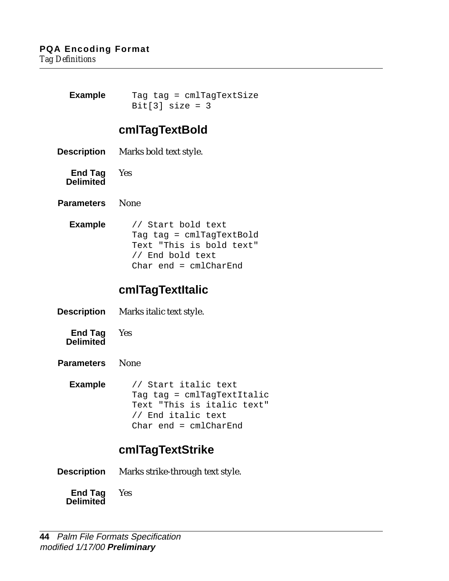**Example** Tag tag = cmlTagTextSize Bit[3]  $size = 3$ 

### **cmlTagTextBold**

- **Description** Marks bold text style.
	- **End Tag Delimited** Yes
- **Parameters** None
	- **Example** // Start bold text Tag tag = cmlTagTextBold Text "This is bold text" // End bold text Char end = cmlCharEnd

### **cmlTagTextItalic**

- **Description** Marks italic text style.
	- **End Tag Delimited** Yes
- **Parameters** None
	- **Example** // Start italic text Tag tag = cmlTagTextItalic Text "This is italic text" // End italic text Char end = cmlCharEnd

### **cmlTagTextStrike**

**Description** Marks strike-through text style.

**End Tag Delimited** Yes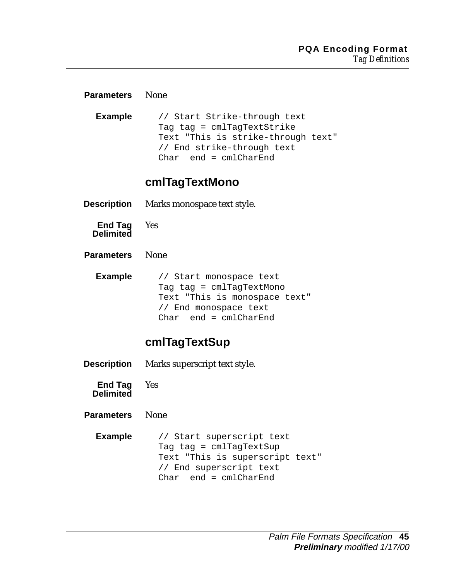**Parameters** None

**Example** // Start Strike-through text Tag tag = cmlTagTextStrike Text "This is strike-through text" // End strike-through text Char end = cmlCharEnd

#### **cmlTagTextMono**

**Description** Marks monospace text style.

**End Tag Delimited** Yes

- **Parameters** None
	- **Example** // Start monospace text Tag tag = cmlTagTextMono Text "This is monospace text" // End monospace text Char end = cmlCharEnd

#### **cmlTagTextSup**

**Description** Marks superscript text style.

Yes

**End Tag Delimited**

- **Parameters** None
	- **Example** // Start superscript text Tag tag = cmlTagTextSup Text "This is superscript text" // End superscript text Char end = cmlCharEnd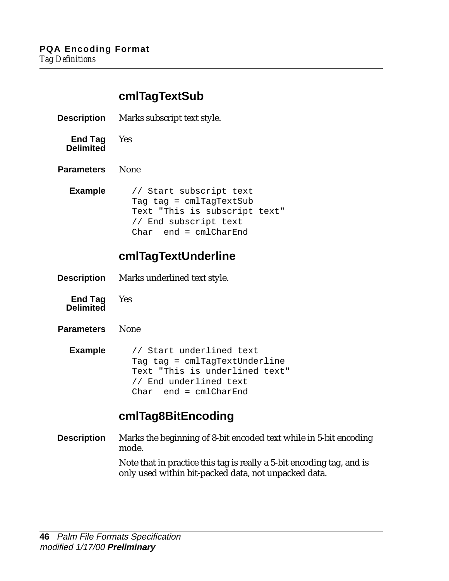#### **cmlTagTextSub**

| <b>Description</b>                 | Marks subscript text style.                                                                                                                        |
|------------------------------------|----------------------------------------------------------------------------------------------------------------------------------------------------|
| <b>End Tag</b><br><b>Delimited</b> | Yes                                                                                                                                                |
| <b>Parameters</b>                  | <b>None</b>                                                                                                                                        |
| <b>Example</b>                     | // Start subscript text<br>Tag tag = cmlTagTextSub<br>Text "This is subscript text"<br>// End subscript text<br>$char$ end = $cm1CharEnd$          |
|                                    | cmlTagTextUnderline                                                                                                                                |
| <b>Description</b>                 | Marks underlined text style.                                                                                                                       |
| <b>End Tag</b><br><b>Delimited</b> | Yes                                                                                                                                                |
| <b>Parameters</b>                  | None                                                                                                                                               |
| <b>Example</b>                     | // Start underlined text<br>Tag tag = cmlTagTextUnderline<br>Text "This is underlined text"<br>// End underlined text<br>$char$ end = $cm1CharEnd$ |
|                                    | cmlTag8BitEncoding                                                                                                                                 |
| <b>Description</b>                 | Marks the beginning of 8-bit encoded text while in 5-bit encoding<br>mode.                                                                         |

Note that in practice this tag is really a 5-bit encoding tag, and is only used within bit-packed data, not unpacked data.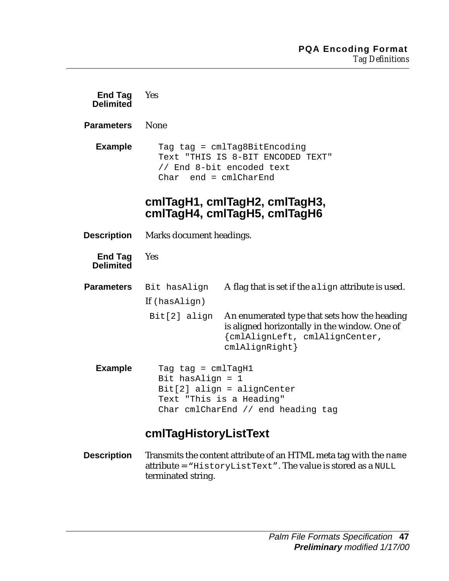| <b>End Tag</b><br><b>Delimited</b> | Yes                                                                                                                                                                                          |                                                                                                                                                          |
|------------------------------------|----------------------------------------------------------------------------------------------------------------------------------------------------------------------------------------------|----------------------------------------------------------------------------------------------------------------------------------------------------------|
| <b>Parameters</b>                  | None                                                                                                                                                                                         |                                                                                                                                                          |
| <b>Example</b>                     | Tag tag = cmlTag8BitEncoding<br>Text "THIS IS 8-BIT ENCODED TEXT"<br>// End 8-bit encoded text<br>$char$ end = $cm1CharEnd$<br>cmlTagH1, cmlTagH2, cmlTagH3,<br>cmlTagH4, cmlTagH5, cmlTagH6 |                                                                                                                                                          |
|                                    |                                                                                                                                                                                              |                                                                                                                                                          |
| <b>Description</b>                 | Marks document headings.                                                                                                                                                                     |                                                                                                                                                          |
| <b>End Tag</b><br><b>Delimited</b> | <b>Yes</b>                                                                                                                                                                                   |                                                                                                                                                          |
| <b>Parameters</b>                  | Bit hasAlign                                                                                                                                                                                 | A flag that is set if the align attribute is used.                                                                                                       |
|                                    | If $(hasAlign)$                                                                                                                                                                              |                                                                                                                                                          |
|                                    | Bit[2] align                                                                                                                                                                                 | An enumerated type that sets how the heading<br>is aligned horizontally in the window. One of<br>{cmlAlignLeft, cmlAlignCenter,<br>$cm1$ AlignRight $\}$ |
| <b>Example</b>                     | Tag tag = cmlTagH1<br>Bit has Align = $1$<br>Bit[2] align = alignCenter<br>Text "This is a Heading"<br>Char cmlCharEnd // end heading tag                                                    |                                                                                                                                                          |
|                                    | cmlTagHistoryListText                                                                                                                                                                        |                                                                                                                                                          |
| <b>Description</b>                 |                                                                                                                                                                                              | Transmits the content attribute of an HTML meta tag with the name<br>attribute = "HistoryListText". The value is stored as a NULL                        |

terminated string.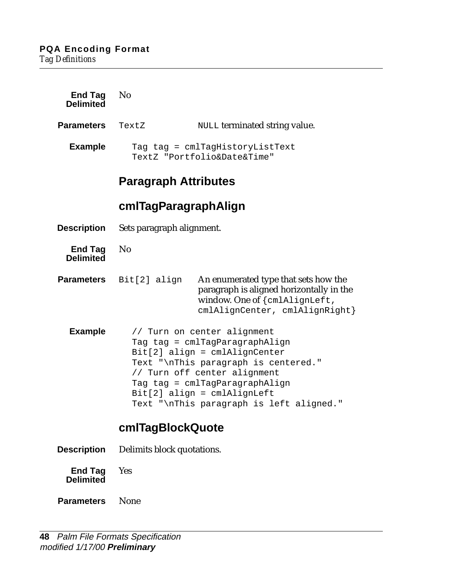| <b>End Tag</b><br><b>Delimited</b> | No                                                                                                                                                                                                                                                                                      |                                                                                                                                                     |
|------------------------------------|-----------------------------------------------------------------------------------------------------------------------------------------------------------------------------------------------------------------------------------------------------------------------------------------|-----------------------------------------------------------------------------------------------------------------------------------------------------|
| <b>Parameters</b>                  | TextZ                                                                                                                                                                                                                                                                                   | NULL terminated string value.                                                                                                                       |
| <b>Example</b>                     |                                                                                                                                                                                                                                                                                         | Tag tag = cmlTagHistoryListText<br>TextZ "Portfolio&Date&Time"                                                                                      |
|                                    | <b>Paragraph Attributes</b>                                                                                                                                                                                                                                                             |                                                                                                                                                     |
|                                    | cmlTagParagraphAlign                                                                                                                                                                                                                                                                    |                                                                                                                                                     |
| <b>Description</b>                 | Sets paragraph alignment.                                                                                                                                                                                                                                                               |                                                                                                                                                     |
| <b>End Tag</b><br><b>Delimited</b> | <b>No</b>                                                                                                                                                                                                                                                                               |                                                                                                                                                     |
|                                    | Parameters Bit[2] align                                                                                                                                                                                                                                                                 | An enumerated type that sets how the<br>paragraph is aligned horizontally in the<br>window. One of {cmlAlignLeft,<br>cmlAlignCenter, cmlAlignRight} |
| <b>Example</b>                     | // Turn on center alignment<br>Tag tag = cmlTagParagraphAlign<br>$Bit[2] align = emlAlignCenter$<br>Text "\nThis paragraph is centered."<br>// Turn off center alignment<br>Tag tag = cmlTagParagraphAlign<br>$Bit[2] align = emlAlignLeft$<br>Text "\nThis paragraph is left aligned." |                                                                                                                                                     |
|                                    | cmlTagBlockQuote                                                                                                                                                                                                                                                                        |                                                                                                                                                     |
| <b>Description</b>                 | Delimits block quotations.                                                                                                                                                                                                                                                              |                                                                                                                                                     |
| <b>End Tag</b><br><b>Delimited</b> | <b>Yes</b>                                                                                                                                                                                                                                                                              |                                                                                                                                                     |
| <b>Parameters</b>                  | None                                                                                                                                                                                                                                                                                    |                                                                                                                                                     |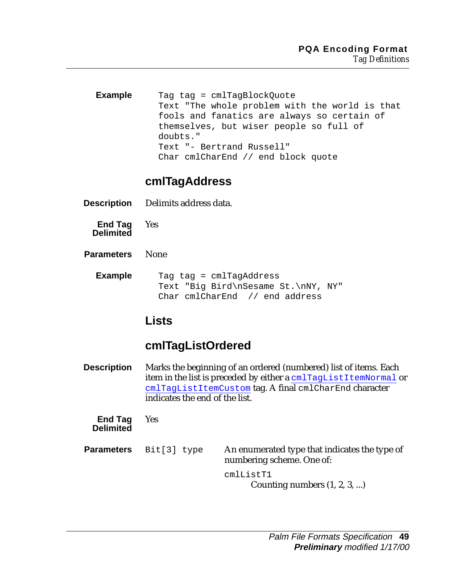**Example** Tag tag = cmlTagBlockQuote Text "The whole problem with the world is that fools and fanatics are always so certain of themselves, but wiser people so full of doubts." Text "- Bertrand Russell" Char cmlCharEnd // end block quote

#### **cmlTagAddress**

**Description** Delimits address data.

**End Tag Delimited** Yes

**Parameters** None

**Example** Tag tag = cmlTagAddress Text "Big Bird\nSesame St.\nNY, NY" Char cmlCharEnd // end address

#### **Lists**

### **cmlTagListOrdered**

**Description** Marks the beginning of an ordered (numbered) list of items. Each item in the list is preceded by either a cmlTagListItemNormal or cmlTagListItemCustom tag. A final cmlCharEnd character indicates the end of the list.

**End Tag Delimited** Yes

**Parameters** Bit<sup>[3]</sup> type An enumerated type that indicates the type of numbering scheme. One of:

> cmlListT1 Counting numbers (1, 2, 3, ...)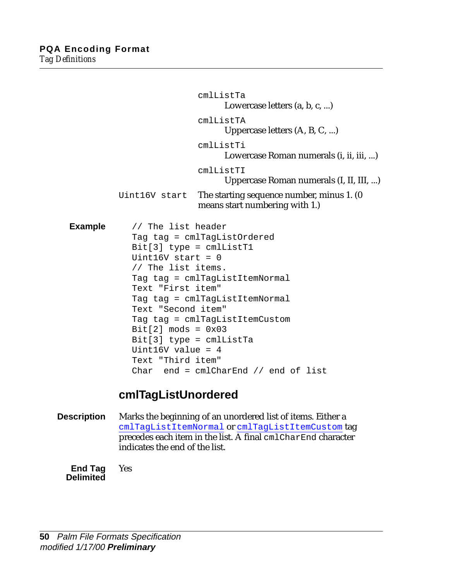cmlListTa Lowercase letters (a, b, c, ...) cmlListTA Uppercase letters (A, B, C, ...) cmlListTi Lowercase Roman numerals (i, ii, iii, ...) cmlListTI Uppercase Roman numerals (I, II, III, ...) Uint16V start The starting sequence number, minus 1. (0 means start numbering with 1.) **Example** // The list header Tag tag = cmlTagListOrdered Bit[3] type = cmlListT1  $Uint16V$  start =  $0$ // The list items. Tag tag = cmlTagListItemNormal Text "First item" Tag tag = cmlTagListItemNormal Text "Second item" Tag tag = cmlTagListItemCustom  $Bit[2] mods = 0x03$ Bit[3] type = cmlListTa Uint $16V$  value =  $4$ Text "Third item" Char end = cmlCharEnd // end of list

#### **cmlTagListUnordered**

**Description** Marks the beginning of an unordered list of items. Either a cmlTagListItemNormal or cmlTagListItemCustom tag precedes each item in the list. A final cmlCharEnd character indicates the end of the list.

**End Tag Delimited** Yes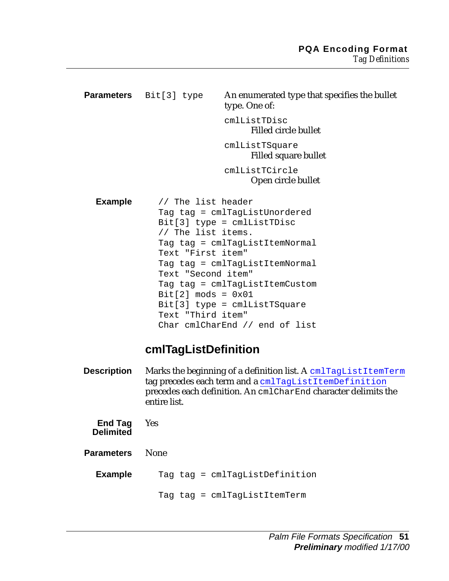|                                    | <b>Parameters</b> Bit[3] type                                                                                                    | An enumerated type that specifies the bullet<br>type. One of:                                                                                                                                                                         |
|------------------------------------|----------------------------------------------------------------------------------------------------------------------------------|---------------------------------------------------------------------------------------------------------------------------------------------------------------------------------------------------------------------------------------|
|                                    |                                                                                                                                  | cmlListTDisc<br><b>Filled circle bullet</b>                                                                                                                                                                                           |
|                                    |                                                                                                                                  | cmlListTSquare<br>Filled square bullet                                                                                                                                                                                                |
|                                    |                                                                                                                                  | cmlListTCircle<br>Open circle bullet                                                                                                                                                                                                  |
| <b>Example</b>                     | // The list header<br>// The list items.<br>Text "First item"<br>Text "Second item"<br>$Bit[2] mods = 0x01$<br>Text "Third item" | Tag tag = cmlTagListUnordered<br>$Bit[3] type = emllistIDisc$<br>Tag tag = cmlTagListItemNormal<br>Tag tag = cmlTagListItemNormal<br>Tag tag = cmlTagListItemCustom<br>Bit[3] type = cmlListTSquare<br>Char cmlCharEnd // end of list |
|                                    | <b>cmlTagListDefinition</b>                                                                                                      |                                                                                                                                                                                                                                       |
| <b>Description</b>                 | entire list.                                                                                                                     | Marks the beginning of a definition list. A cmlTagListItemTerm<br>tag precedes each term and a cmlTagListItemDefinition<br>precedes each definition. An cmlCharEnd character delimits the                                             |
| <b>End Tag</b><br><b>Delimited</b> | Yes                                                                                                                              |                                                                                                                                                                                                                                       |
| <b>Parameters</b>                  | <b>None</b>                                                                                                                      |                                                                                                                                                                                                                                       |
| <b>Example</b>                     |                                                                                                                                  | Tag tag = cmlTagListDefinition                                                                                                                                                                                                        |
|                                    |                                                                                                                                  | Tag tag = cmlTagListItemTerm                                                                                                                                                                                                          |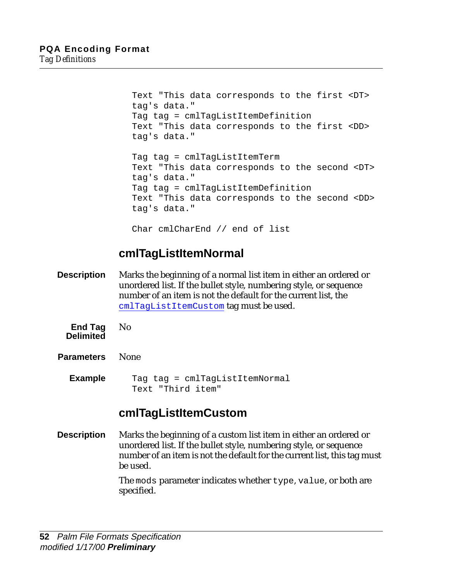Text "This data corresponds to the first <DT> tag's data." Tag tag = cmlTagListItemDefinition Text "This data corresponds to the first <DD> tag's data." Tag tag = cmlTagListItemTerm Text "This data corresponds to the second <DT> tag's data." Tag tag = cmlTagListItemDefinition Text "This data corresponds to the second <DD> tag's data." Char cmlCharEnd // end of list

#### **cmlTagListItemNormal**

**Description** Marks the beginning of a normal list item in either an ordered or unordered list. If the bullet style, numbering style, or sequence number of an item is not the default for the current list, the cmlTagListItemCustom tag must be used.

**End Tag Delimited** No

- **Parameters** None
	- **Example** Tag tag = cmlTagListItemNormal Text "Third item"

#### **cmlTagListItemCustom**

**Description** Marks the beginning of a custom list item in either an ordered or unordered list. If the bullet style, numbering style, or sequence number of an item is not the default for the current list, this tag must be used.

> The mods parameter indicates whether type, value, or both are specified.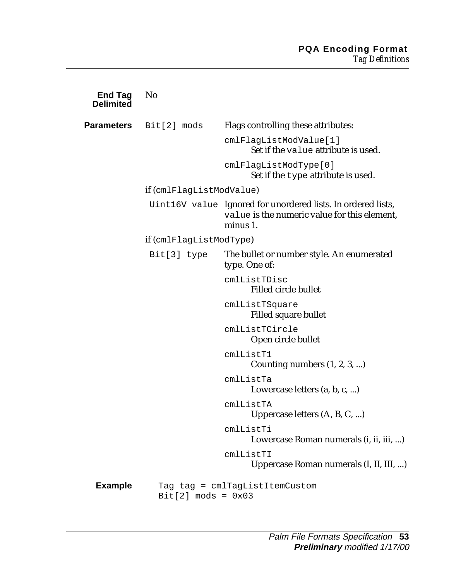| <b>End Tag</b><br><b>Delimited</b> | N <sub>0</sub>           |                                                                                                                          |
|------------------------------------|--------------------------|--------------------------------------------------------------------------------------------------------------------------|
| <b>Parameters</b>                  | Bit[2] mods              | Flags controlling these attributes:                                                                                      |
|                                    |                          | cmlFlagListModValue[1]<br>Set if the value attribute is used.                                                            |
|                                    |                          | cmlFlagListModType[0]<br>Set if the type attribute is used.                                                              |
|                                    | if (cmlFlagListModValue) |                                                                                                                          |
|                                    |                          | Uint16V value Ignored for unordered lists. In ordered lists,<br>value is the numeric value for this element,<br>minus 1. |
|                                    | if (cmlFlagListModType)  |                                                                                                                          |
|                                    | Bit[3] type              | The bullet or number style. An enumerated<br>type. One of:                                                               |
|                                    |                          | cmlListTDisc<br><b>Filled circle bullet</b>                                                                              |
|                                    |                          | cmlListTSquare<br><b>Filled square bullet</b>                                                                            |
|                                    |                          | cmlListTCircle<br>Open circle bullet                                                                                     |
|                                    |                          | cmlListT1<br>Counting numbers (1, 2, 3, )                                                                                |
|                                    |                          | cmlListTa<br>Lowercase letters (a, b, c, )                                                                               |
|                                    |                          | cmlListTA<br>Uppercase letters (A, B, C, )                                                                               |
|                                    |                          | cmlListTi<br>Lowercase Roman numerals (i, ii, iii, )                                                                     |
|                                    |                          | CMLListTI<br>Uppercase Roman numerals (I, II, III, )                                                                     |
| <b>Example</b>                     | $Bit[2] mods = 0x03$     | Tag tag = cmlTagListItemCustom                                                                                           |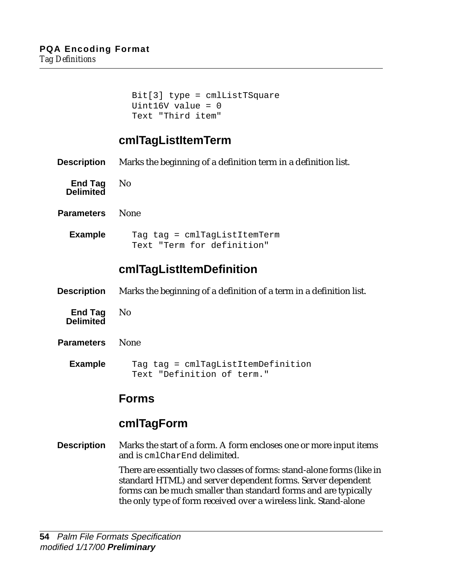```
Bit[3] type = cmlListTSquare
Uint16V value = 0
Text "Third item"
```
#### **cmlTagListItemTerm**

| <b>Description</b>                 | Marks the beginning of a definition term in a definition list.                                                                                                                                           |  |  |
|------------------------------------|----------------------------------------------------------------------------------------------------------------------------------------------------------------------------------------------------------|--|--|
| <b>End Tag</b><br><b>Delimited</b> | No                                                                                                                                                                                                       |  |  |
| <b>Parameters</b>                  | None                                                                                                                                                                                                     |  |  |
| <b>Example</b>                     | Tag tag = cmlTagListItemTerm<br>Text "Term for definition"                                                                                                                                               |  |  |
|                                    | cmlTagListItemDefinition                                                                                                                                                                                 |  |  |
| <b>Description</b>                 | Marks the beginning of a definition of a term in a definition list.                                                                                                                                      |  |  |
| <b>End Tag</b><br><b>Delimited</b> | No                                                                                                                                                                                                       |  |  |
| <b>Parameters</b>                  | None                                                                                                                                                                                                     |  |  |
| <b>Example</b>                     | Tag tag = cmlTagListItemDefinition<br>Text "Definition of term."                                                                                                                                         |  |  |
|                                    | <b>Forms</b>                                                                                                                                                                                             |  |  |
|                                    | cmlTagForm                                                                                                                                                                                               |  |  |
| <b>Description</b>                 | Marks the start of a form. A form encloses one or more input items<br>and is cmlCharEnd delimited.                                                                                                       |  |  |
|                                    | There are essentially two classes of forms: stand-alone forms (like in<br>standard HTML) and server dependent forms. Server dependent<br>forms can be much smaller than standard forms and are typically |  |  |

the only type of form received over a wireless link. Stand-alone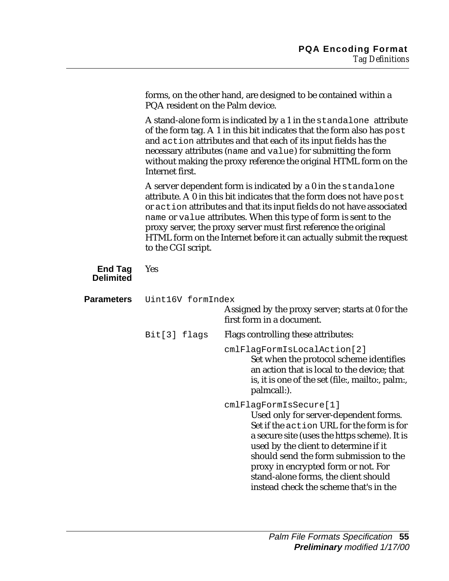forms, on the other hand, are designed to be contained within a PQA resident on the Palm device.

A stand-alone form is indicated by a 1 in the standalone attribute of the form tag. A 1 in this bit indicates that the form also has post and action attributes and that each of its input fields has the necessary attributes (name and value) for submitting the form without making the proxy reference the original HTML form on the Internet first.

A server dependent form is indicated by a 0 in the standalone attribute. A 0 in this bit indicates that the form does not have post or action attributes and that its input fields do not have associated name or value attributes. When this type of form is sent to the proxy server, the proxy server must first reference the original HTML form on the Internet before it can actually submit the request to the CGI script.

#### **End Tag Delimited** Yes

| Parameters | Uint16V formIndex | Assigned by the proxy server; starts at 0 for the<br>first form in a document.                                                                                                                                                                                                                                                                                           |
|------------|-------------------|--------------------------------------------------------------------------------------------------------------------------------------------------------------------------------------------------------------------------------------------------------------------------------------------------------------------------------------------------------------------------|
|            | Bit[3] flags      | Flags controlling these attributes:                                                                                                                                                                                                                                                                                                                                      |
|            |                   | cmlFlagFormIsLocalAction[2]<br>Set when the protocol scheme identifies<br>an action that is local to the device; that<br>is, it is one of the set (file:, mailto:, palm:,<br>palmcall:).                                                                                                                                                                                 |
|            |                   | cmlFlagFormIsSecure[1]<br>Used only for server-dependent forms.<br>Set if the action URL for the form is for<br>a secure site (uses the https scheme). It is<br>used by the client to determine if it<br>should send the form submission to the<br>proxy in encrypted form or not. For<br>stand-alone forms, the client should<br>instead check the scheme that's in the |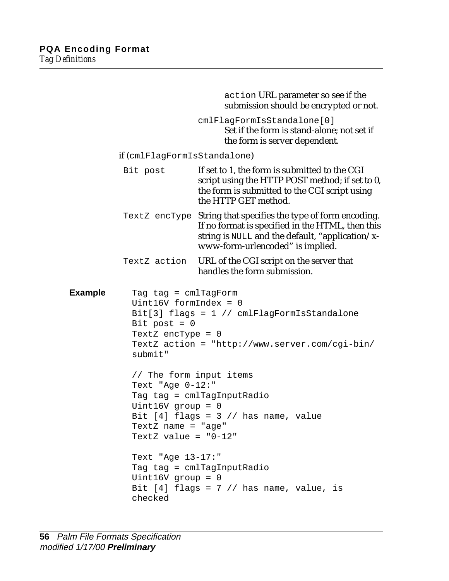|                |                                | action URL parameter so see if the<br>submission should be encrypted or not.                                                                                                                                                                                                                                                                                                                                 |  |
|----------------|--------------------------------|--------------------------------------------------------------------------------------------------------------------------------------------------------------------------------------------------------------------------------------------------------------------------------------------------------------------------------------------------------------------------------------------------------------|--|
|                |                                | cmlFlagFormIsStandalone[0]<br>Set if the form is stand-alone; not set if<br>the form is server dependent.                                                                                                                                                                                                                                                                                                    |  |
|                | if (cmlFlagFormIsStandalone)   |                                                                                                                                                                                                                                                                                                                                                                                                              |  |
|                | Bit post                       | If set to 1, the form is submitted to the CGI<br>script using the HTTP POST method; if set to 0,<br>the form is submitted to the CGI script using<br>the HTTP GET method.                                                                                                                                                                                                                                    |  |
|                |                                | TextZ encType String that specifies the type of form encoding.<br>If no format is specified in the HTML, then this<br>string is NULL and the default, "application/x-<br>www-form-urlencoded" is implied.                                                                                                                                                                                                    |  |
|                | TextZ action                   | URL of the CGI script on the server that<br>handles the form submission.                                                                                                                                                                                                                                                                                                                                     |  |
| <b>Example</b> | submit"                        | Tag tag = cmlTagForm<br>Uint16V formIndex = 0<br>Bit[3] flags = 1 // cmlFlagFormIsStandalone<br>Bit post = $0$<br>TextZ encType = $0$<br>TextZ action = "http://www.server.com/cgi-bin/<br>// The form input items<br>Text "Age 0-12:"<br>Tag tag = cmlTagInputRadio<br>Uint16V group = $0$<br>Bit $[4]$ flags = 3 // has name, value<br>TextZ $name = "age"$<br>TextZ value = $"0-12"$<br>Text "Age 13-17:" |  |
|                | Uint16V group = $0$<br>checked | Tag tag = cmlTagInputRadio<br>Bit $[4]$ flags = 7 // has name, value, is                                                                                                                                                                                                                                                                                                                                     |  |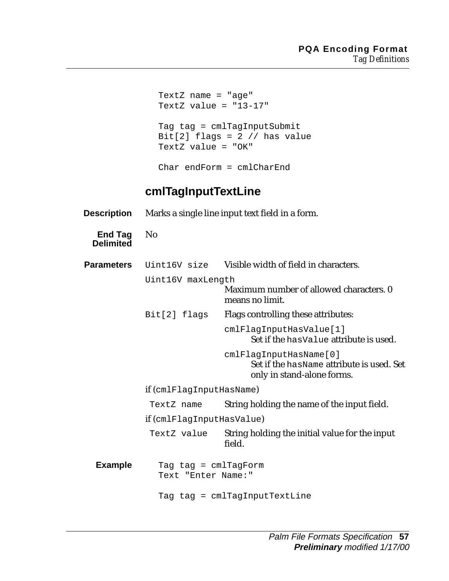```
TextZ name = "age"
TextZ value = "13-17"Tag tag = cmlTagInputSubmit
Bit[2] flags = 2 // has value
TextZ value = "OK" 
Char endForm = cmlCharEnd
```
#### **cmlTagInputTextLine**

| <b>Description</b>                 | Marks a single line input text field in a form. |                                                                                                   |
|------------------------------------|-------------------------------------------------|---------------------------------------------------------------------------------------------------|
| <b>End Tag</b><br><b>Delimited</b> | N <sub>0</sub>                                  |                                                                                                   |
| <b>Parameters</b>                  | Uint16V size                                    | Visible width of field in characters.                                                             |
|                                    | Uint16V maxLength                               | Maximum number of allowed characters. 0<br>means no limit.                                        |
|                                    | Bit[2] flags                                    | Flags controlling these attributes:                                                               |
|                                    |                                                 | cmlFlagInputHasValue[1]<br>Set if the has Value attribute is used.                                |
|                                    |                                                 | cmlFlagInputHasName[0]<br>Set if the hasName attribute is used. Set<br>only in stand-alone forms. |
|                                    | if (cmlFlagInputHasName)                        |                                                                                                   |
|                                    | TextZ name                                      | String holding the name of the input field.                                                       |
| if (cmlFlagInputHasValue)          |                                                 |                                                                                                   |
|                                    | TextZ value                                     | String holding the initial value for the input<br>field.                                          |
| <b>Example</b>                     | Tag $tag Form$<br>Text "Enter Name:"            |                                                                                                   |
|                                    |                                                 | Tag tag = cmlTagInputTextLine                                                                     |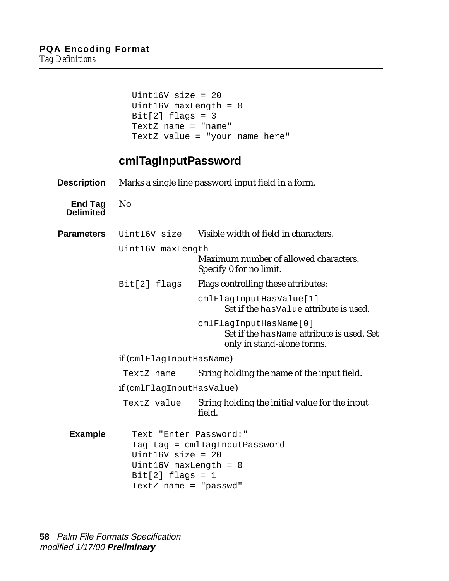```
Uint16V size = 20
Uint16V maxLength = 0
Bit[2] flags = 3TextZ name = "name"
TextZ value = "your name here"
```
### **cmlTagInputPassword**

| <b>Description</b>                 | Marks a single line password input field in a form.                                                                        |                                                                                                   |
|------------------------------------|----------------------------------------------------------------------------------------------------------------------------|---------------------------------------------------------------------------------------------------|
| <b>End Tag</b><br><b>Delimited</b> | <b>No</b>                                                                                                                  |                                                                                                   |
| <b>Parameters</b>                  | Uint16V size                                                                                                               | Visible width of field in characters.                                                             |
|                                    | Uint16V maxLength                                                                                                          | Maximum number of allowed characters.<br>Specify 0 for no limit.                                  |
|                                    | Bit[2] flags                                                                                                               | Flags controlling these attributes:                                                               |
|                                    |                                                                                                                            | cmlFlagInputHasValue[1]<br>Set if the has Value attribute is used.                                |
|                                    |                                                                                                                            | cmlFlagInputHasName[0]<br>Set if the hasName attribute is used. Set<br>only in stand-alone forms. |
|                                    | if (cmlFlagInputHasName)                                                                                                   |                                                                                                   |
|                                    | TextZ name                                                                                                                 | String holding the name of the input field.                                                       |
|                                    | if (cmlFlagInputHasValue)                                                                                                  |                                                                                                   |
|                                    | TextZ value                                                                                                                | String holding the initial value for the input<br>field.                                          |
| <b>Example</b>                     | Text "Enter Password:"<br>Uint16V size = $20$<br>Uint16V maxLength = $0$<br>$Bit[2] \; flags = 1$<br>TextZ name = "passwd" | Tag tag = cmlTagInputPassword                                                                     |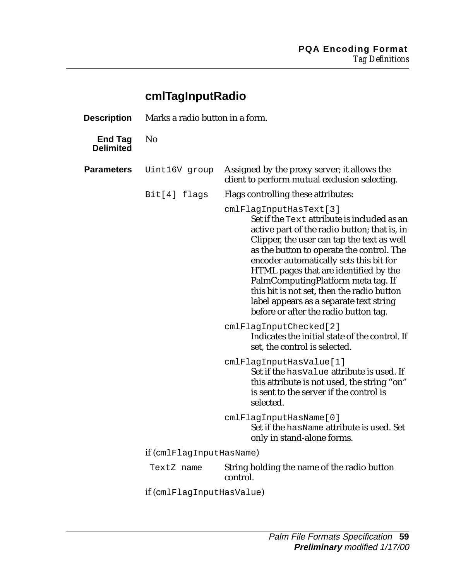### **cmlTagInputRadio**

| <b>Description</b>                 | Marks a radio button in a form. |                                                                                                                                                                                                                                                                                                                                                                                                                                                                              |
|------------------------------------|---------------------------------|------------------------------------------------------------------------------------------------------------------------------------------------------------------------------------------------------------------------------------------------------------------------------------------------------------------------------------------------------------------------------------------------------------------------------------------------------------------------------|
| <b>End Tag</b><br><b>Delimited</b> | <b>No</b>                       |                                                                                                                                                                                                                                                                                                                                                                                                                                                                              |
| <b>Parameters</b>                  | Uint16V group                   | Assigned by the proxy server; it allows the<br>client to perform mutual exclusion selecting.                                                                                                                                                                                                                                                                                                                                                                                 |
|                                    | Bit[4] flags                    | Flags controlling these attributes:                                                                                                                                                                                                                                                                                                                                                                                                                                          |
|                                    |                                 | cmlFlagInputHasText[3]<br>Set if the Text attribute is included as an<br>active part of the radio button; that is, in<br>Clipper, the user can tap the text as well<br>as the button to operate the control. The<br>encoder automatically sets this bit for<br>HTML pages that are identified by the<br>PalmComputingPlatform meta tag. If<br>this bit is not set, then the radio button<br>label appears as a separate text string<br>before or after the radio button tag. |
|                                    |                                 | cmlFlagInputChecked[2]<br>Indicates the initial state of the control. If<br>set, the control is selected.                                                                                                                                                                                                                                                                                                                                                                    |
|                                    |                                 | cmlFlagInputHasValue[1]<br>Set if the has Value attribute is used. If<br>this attribute is not used, the string "on"<br>is sent to the server if the control is<br>selected.                                                                                                                                                                                                                                                                                                 |
|                                    |                                 | cmlFlagInputHasName[0]<br>Set if the has Name attribute is used. Set<br>only in stand-alone forms.                                                                                                                                                                                                                                                                                                                                                                           |
|                                    | if (cmlFlaqInputHasName)        |                                                                                                                                                                                                                                                                                                                                                                                                                                                                              |
|                                    | TextZ name                      | String holding the name of the radio button<br>control.                                                                                                                                                                                                                                                                                                                                                                                                                      |
|                                    | if (cmlFlagInputHasValue)       |                                                                                                                                                                                                                                                                                                                                                                                                                                                                              |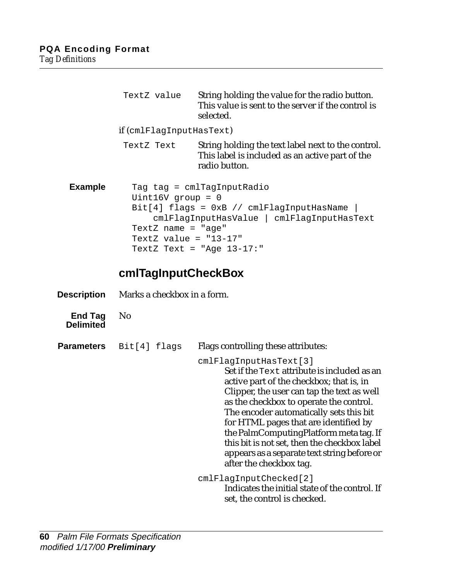|         | TextZ value                                                          | String holding the value for the radio button.<br>This value is sent to the server if the control is<br>selected.      |
|---------|----------------------------------------------------------------------|------------------------------------------------------------------------------------------------------------------------|
|         | if (cmlFlaqInputHasText)                                             |                                                                                                                        |
|         | TextZ Text                                                           | String holding the text label next to the control.<br>This label is included as an active part of the<br>radio button. |
| Example | Uint16V group = $0$<br>TextZ name = "age"<br>TextZ value = $"13-17"$ | Tag tag = cmlTagInputRadio<br>Bit[4] flags = 0xB // cmlFlagInputHasName<br>cmlFlagInputHasValue   cmlFlagInputHasText  |

## **cmlTagInputCheckBox**

TextZ Text = "Age  $13-17$ :"

| <b>Description</b>                 | Marks a checkbox in a form. |                                                                                                                                                                                                                                                                                                                                                                                                                                                                                                           |
|------------------------------------|-----------------------------|-----------------------------------------------------------------------------------------------------------------------------------------------------------------------------------------------------------------------------------------------------------------------------------------------------------------------------------------------------------------------------------------------------------------------------------------------------------------------------------------------------------|
| <b>End Tag</b><br><b>Delimited</b> | N <sub>0</sub>              |                                                                                                                                                                                                                                                                                                                                                                                                                                                                                                           |
| <b>Parameters</b>                  | Bit[4] flags                | Flags controlling these attributes:<br>cmlFlagInputHasText[3]<br>Set if the Text attribute is included as an<br>active part of the checkbox; that is, in<br>Clipper, the user can tap the text as well<br>as the checkbox to operate the control.<br>The encoder automatically sets this bit<br>for HTML pages that are identified by<br>the PalmComputingPlatform meta tag. If<br>this bit is not set, then the checkbox label<br>appears as a separate text string before or<br>after the checkbox tag. |
|                                    |                             | cmlFlagInputChecked[2]<br>Indicates the initial state of the control. If<br>set, the control is checked.                                                                                                                                                                                                                                                                                                                                                                                                  |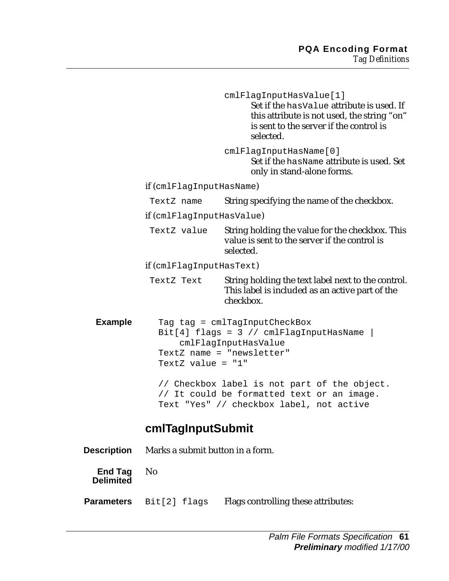|                                    |                                                                                                                                                                                                                                                                                                                            | cmlFlagInputHasValue[1]<br>Set if the has Value attribute is used. If<br>this attribute is not used, the string "on"<br>is sent to the server if the control is<br>selected. |
|------------------------------------|----------------------------------------------------------------------------------------------------------------------------------------------------------------------------------------------------------------------------------------------------------------------------------------------------------------------------|------------------------------------------------------------------------------------------------------------------------------------------------------------------------------|
|                                    |                                                                                                                                                                                                                                                                                                                            | cmlFlagInputHasName[0]<br>Set if the hasName attribute is used. Set<br>only in stand-alone forms.                                                                            |
|                                    | if (cmlFlagInputHasName)                                                                                                                                                                                                                                                                                                   |                                                                                                                                                                              |
|                                    | TextZ name                                                                                                                                                                                                                                                                                                                 | String specifying the name of the checkbox.                                                                                                                                  |
|                                    | if (cmlFlagInputHasValue)                                                                                                                                                                                                                                                                                                  |                                                                                                                                                                              |
|                                    | TextZ value                                                                                                                                                                                                                                                                                                                | String holding the value for the checkbox. This<br>value is sent to the server if the control is<br>selected.                                                                |
|                                    | if (cmlFlagInputHasText)                                                                                                                                                                                                                                                                                                   |                                                                                                                                                                              |
|                                    | TextZ Text                                                                                                                                                                                                                                                                                                                 | String holding the text label next to the control.<br>This label is included as an active part of the<br>checkbox.                                                           |
| <b>Example</b>                     | Tag tag = cmlTagInputCheckBox<br>Bit[4] flags = 3 // cmlFlagInputHasName<br>cmlFlagInputHasValue<br>TextZ name = "newsletter"<br>TextZ value = $"1"$<br>// Checkbox label is not part of the object.<br>// It could be formatted text or an image.<br>Text "Yes" // checkbox label, not active<br><b>cmlTagInputSubmit</b> |                                                                                                                                                                              |
|                                    |                                                                                                                                                                                                                                                                                                                            |                                                                                                                                                                              |
|                                    |                                                                                                                                                                                                                                                                                                                            |                                                                                                                                                                              |
| <b>Description</b>                 | Marks a submit button in a form.                                                                                                                                                                                                                                                                                           |                                                                                                                                                                              |
| <b>End Tag</b><br><b>Delimited</b> | No                                                                                                                                                                                                                                                                                                                         |                                                                                                                                                                              |
| <b>Parameters</b>                  | Bit[2] flags                                                                                                                                                                                                                                                                                                               | Flags controlling these attributes:                                                                                                                                          |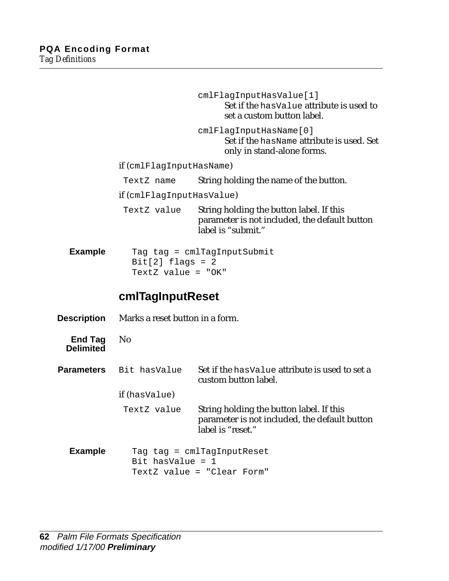|                                    |                                            | cmlFlagInputHasValue[1]<br>Set if the has Value attribute is used to<br>set a custom button label.              |
|------------------------------------|--------------------------------------------|-----------------------------------------------------------------------------------------------------------------|
|                                    |                                            | cmlFlagInputHasName[0]<br>Set if the hasName attribute is used. Set<br>only in stand-alone forms.               |
|                                    | if (cmlFlagInputHasName)                   |                                                                                                                 |
|                                    | TextZ name                                 | String holding the name of the button.                                                                          |
|                                    | if (cmlFlagInputHasValue)                  |                                                                                                                 |
|                                    | TextZ value                                | String holding the button label. If this<br>parameter is not included, the default button<br>label is "submit." |
| <b>Example</b>                     | $Bit[2]$ flags = 2<br>TextZ value = $"OK"$ | Tag tag = cmlTagInputSubmit                                                                                     |
|                                    |                                            |                                                                                                                 |
|                                    | cmlTagInputReset                           |                                                                                                                 |
| <b>Description</b>                 | Marks a reset button in a form.            |                                                                                                                 |
| <b>End Tag</b><br><b>Delimited</b> | N <sub>0</sub>                             |                                                                                                                 |
| <b>Parameters</b>                  | Bit hasValue                               | Set if the has Value attribute is used to set a<br>custom button label.                                         |
|                                    | if (hasValue)                              |                                                                                                                 |
|                                    | TextZ value                                | String holding the button label. If this<br>parameter is not included, the default button<br>label is "reset."  |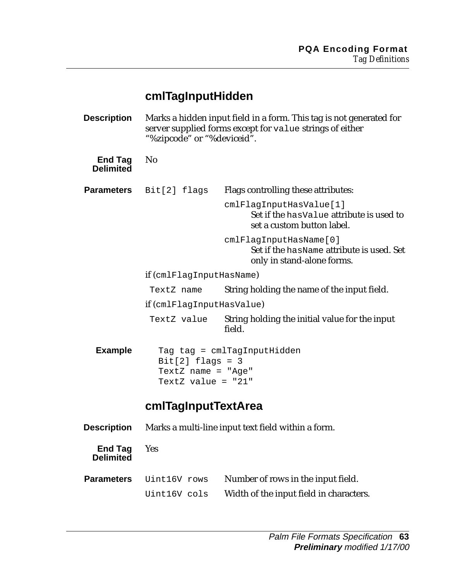### **cmlTagInputHidden**

| <b>Description</b>                 | "%zipcode" or "%deviceid".                                                                         | Marks a hidden input field in a form. This tag is not generated for<br>server supplied forms except for value strings of either |
|------------------------------------|----------------------------------------------------------------------------------------------------|---------------------------------------------------------------------------------------------------------------------------------|
| <b>End Tag</b><br><b>Delimited</b> | No                                                                                                 |                                                                                                                                 |
| <b>Parameters</b>                  | Bit[2] flags                                                                                       | Flags controlling these attributes:                                                                                             |
|                                    |                                                                                                    | cmlFlagInputHasValue[1]<br>Set if the has Value attribute is used to<br>set a custom button label.                              |
|                                    |                                                                                                    | cmlFlagInputHasName[0]<br>Set if the hasName attribute is used. Set<br>only in stand-alone forms.                               |
|                                    | if (cmlFlagInputHasName)                                                                           |                                                                                                                                 |
|                                    | TextZ name                                                                                         | String holding the name of the input field.                                                                                     |
|                                    | if (cmlFlagInputHasValue)                                                                          |                                                                                                                                 |
|                                    | TextZ value                                                                                        | String holding the initial value for the input<br>field.                                                                        |
| <b>Example</b>                     | Tag tag = cmlTagInputHidden<br>$Bit[2] \; flags = 3$<br>TextZ name = "Age"<br>TextZ value = $"21"$ |                                                                                                                                 |
|                                    | <b>cmlTagInputTextArea</b>                                                                         |                                                                                                                                 |

| Marks a multi-line input text field within a form. |
|----------------------------------------------------|
|                                                    |

| End Tag<br><b>Delimited</b> | <b>Yes</b>                     |                                         |
|-----------------------------|--------------------------------|-----------------------------------------|
|                             | <b>Parameters</b> Uint16V rows | Number of rows in the input field.      |
|                             | Uint16V cols                   | Width of the input field in characters. |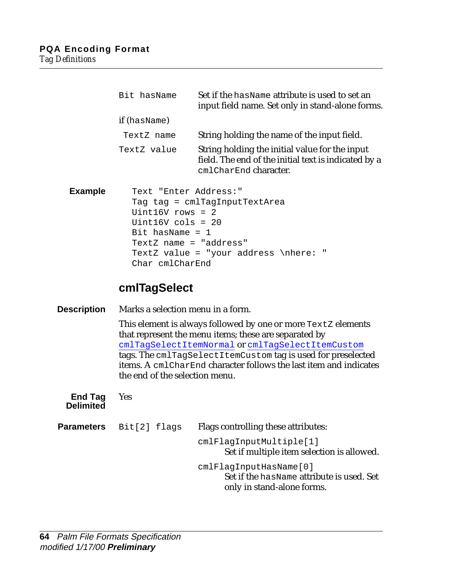**Example** 

| Bit hasName           | Set if the hasName attribute is used to set an<br>input field name. Set only in stand-alone forms.                              |
|-----------------------|---------------------------------------------------------------------------------------------------------------------------------|
| if (hasName)          |                                                                                                                                 |
| TextZ name            | String holding the name of the input field.                                                                                     |
| TextZ value           | String holding the initial value for the input<br>field. The end of the initial text is indicated by a<br>cmlCharEnd character. |
| Text "Enter Address:" | Tag tag = cmlTagInputTextArea                                                                                                   |

Uint16V rows = 2 Uint16V cols = 20 Bit hasName = 1 TextZ name = "address" TextZ value = "your address \nhere: " Char cmlCharEnd

### **cmlTagSelect**

**Description** Marks a selection menu in a form.

This element is always followed by one or more TextZ elements that represent the menu items; these are separated by cmlTagSelectItemNormal or cmlTagSelectItemCustom tags. The cmlTagSelectItemCustom tag is used for preselected items. A cmlCharEnd character follows the last item and indicates the end of the selection menu.

**End Tag Delimited**

Yes

| <b>Parameters</b> | Bit[2] flags | Flags controlling these attributes:                                                               |
|-------------------|--------------|---------------------------------------------------------------------------------------------------|
|                   |              | cmlFlagInputMultiple[1]<br>Set if multiple item selection is allowed.                             |
|                   |              | cmlFlaqInputHasName[0]<br>Set if the hasName attribute is used. Set<br>only in stand-alone forms. |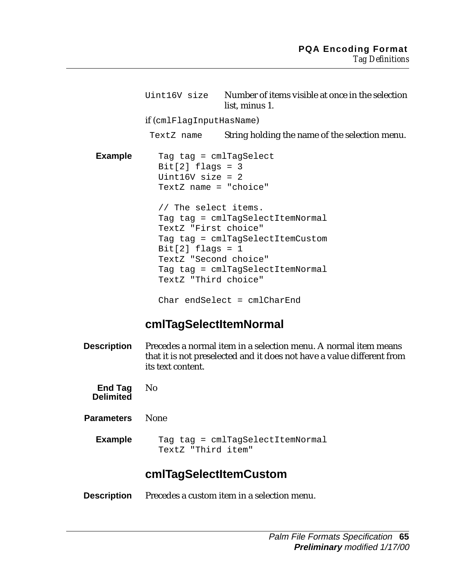|                             |                                                                                                                                                                                                                                 | Uint16V size Number of items visible at once in the selection<br>list, minus 1.                                                           |  |
|-----------------------------|---------------------------------------------------------------------------------------------------------------------------------------------------------------------------------------------------------------------------------|-------------------------------------------------------------------------------------------------------------------------------------------|--|
|                             | if (cmlFlagInputHasName)                                                                                                                                                                                                        |                                                                                                                                           |  |
|                             | TextZ name                                                                                                                                                                                                                      | String holding the name of the selection menu.                                                                                            |  |
| <b>Example</b>              | Tag tag = cmlTagSelect<br>$Bit[2]$ flags = 3<br>Uint16V size = $2$<br>TextZ name = "choice"                                                                                                                                     |                                                                                                                                           |  |
|                             | // The select items.<br>Tag tag = cmlTagSelectItemNormal<br>TextZ "First choice"<br>Tag tag = cmlTagSelectItemCustom<br>$Bit[2]$ flags = 1<br>TextZ "Second choice"<br>Tag tag = cmlTagSelectItemNormal<br>TextZ "Third choice" |                                                                                                                                           |  |
|                             |                                                                                                                                                                                                                                 | Char endSelect = cmlCharEnd                                                                                                               |  |
|                             | cmITagSelectItemNormal                                                                                                                                                                                                          |                                                                                                                                           |  |
| <b>Description</b>          | its text content.                                                                                                                                                                                                               | Precedes a normal item in a selection menu. A normal item means<br>that it is not preselected and it does not have a value different from |  |
| End Tag<br><b>Delimited</b> | <b>No</b>                                                                                                                                                                                                                       |                                                                                                                                           |  |
| <b>Parameters</b>           | <b>None</b>                                                                                                                                                                                                                     |                                                                                                                                           |  |
| <b>Example</b>              | TextZ "Third item"                                                                                                                                                                                                              | Tag tag = cmlTagSelectItemNormal                                                                                                          |  |
|                             | cmlTagSelectItemCustom                                                                                                                                                                                                          |                                                                                                                                           |  |

**Description** Precedes a custom item in a selection menu.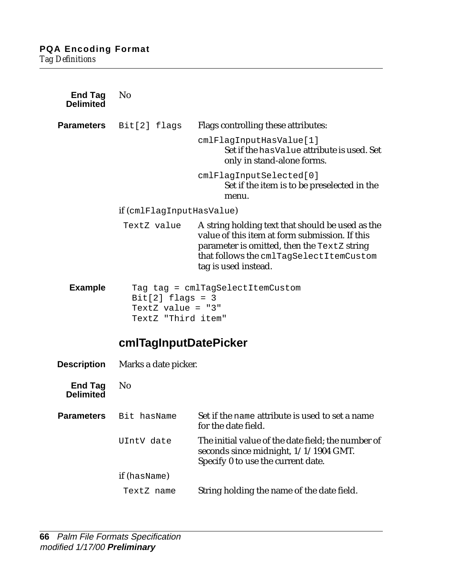| <b>End Tag</b><br><b>Delimited</b> | <b>No</b>                                                                                           |                                                                                                                                                                                                                      |
|------------------------------------|-----------------------------------------------------------------------------------------------------|----------------------------------------------------------------------------------------------------------------------------------------------------------------------------------------------------------------------|
| <b>Parameters</b>                  | Bit[2] flags                                                                                        | Flags controlling these attributes:                                                                                                                                                                                  |
|                                    |                                                                                                     | cmlFlagInputHasValue[1]<br>Set if the has Value attribute is used. Set<br>only in stand-alone forms.                                                                                                                 |
|                                    |                                                                                                     | cmlFlagInputSelected[0]<br>Set if the item is to be preselected in the<br>menu.                                                                                                                                      |
|                                    | if (cmlFlagInputHasValue)                                                                           |                                                                                                                                                                                                                      |
|                                    | TextZ value                                                                                         | A string holding text that should be used as the<br>value of this item at form submission. If this<br>parameter is omitted, then the TextZ string<br>that follows the cmlTagSelectItemCustom<br>tag is used instead. |
| <b>Example</b>                     | Tag tag = cmlTagSelectItemCustom<br>$Bit[2]$ flags = 3<br>TextZ value = $"3"$<br>TextZ "Third item" |                                                                                                                                                                                                                      |
|                                    |                                                                                                     |                                                                                                                                                                                                                      |
|                                    | <b>cmlTagInputDatePicker</b>                                                                        |                                                                                                                                                                                                                      |
| <b>Description</b>                 | Marks a date picker.                                                                                |                                                                                                                                                                                                                      |
| <b>End Tag</b><br><b>Delimited</b> | <b>No</b>                                                                                           |                                                                                                                                                                                                                      |
| <b>Parameters</b>                  | Bit hasName                                                                                         | Set if the name attribute is used to set a name<br>for the date field.                                                                                                                                               |
|                                    | UIntV date                                                                                          | The initial value of the date field; the number of<br>seconds since midnight, $1/1/1904$ GMT.<br>Specify 0 to use the current date.                                                                                  |
|                                    | if (hasName)                                                                                        |                                                                                                                                                                                                                      |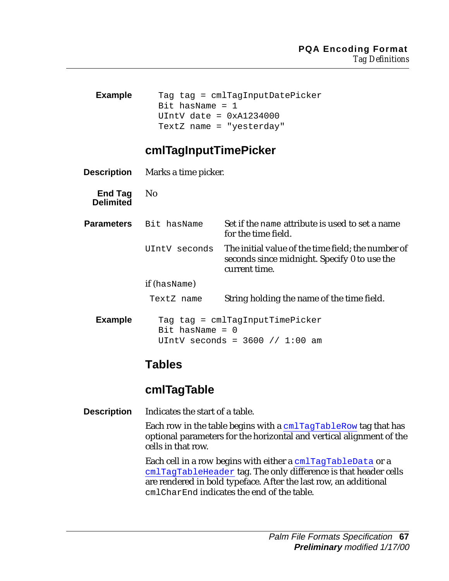| Tag tag = cmlTagInputDatePicker |
|---------------------------------|
| Bit has Name $= 1$              |
| UIntV date = $0xA1234000$       |
| TextZ name = "yesterday"        |
|                                 |

## **cmlTagInputTimePicker**

| Description                 | Marks a time picker.                                                                       |                                                                                                                     |
|-----------------------------|--------------------------------------------------------------------------------------------|---------------------------------------------------------------------------------------------------------------------|
| End Tag<br><b>Delimited</b> | <b>No</b>                                                                                  |                                                                                                                     |
|                             | <b>Parameters</b> Bit hasName                                                              | Set if the name attribute is used to set a name<br>for the time field.                                              |
|                             | UIntV seconds                                                                              | The initial value of the time field; the number of<br>seconds since midnight. Specify 0 to use the<br>current time. |
|                             | if (hasName)                                                                               |                                                                                                                     |
|                             | TextZ name                                                                                 | String holding the name of the time field.                                                                          |
| <b>Example</b>              | Tag tag = cmlTagInputTimePicker<br>Bit has Name = $0$<br>UIntV seconds = $3600$ // 1:00 am |                                                                                                                     |
|                             | <b>Tables</b>                                                                              |                                                                                                                     |
|                             | cmlTagTable                                                                                |                                                                                                                     |

**Description** Indicates the start of a table.

Each row in the table begins with a cmlTagTableRow tag that has optional parameters for the horizontal and vertical alignment of the cells in that row.

Each cell in a row begins with either a cmlTagTableData or a cmlTagTableHeader tag. The only difference is that header cells are rendered in bold typeface. After the last row, an additional cmlCharEnd indicates the end of the table.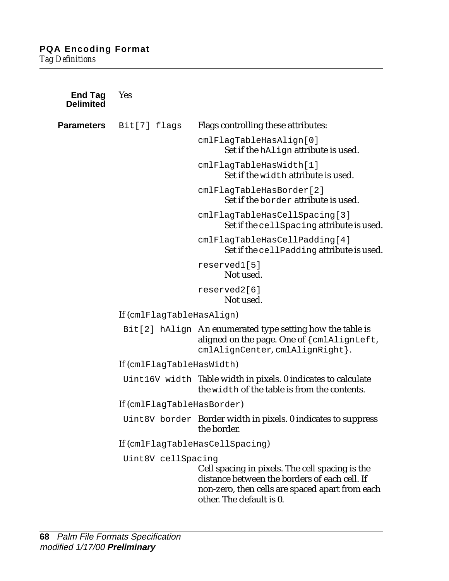| <b>End Tag</b><br><b>Delimited</b> | <b>Yes</b>                      |                                                                                                                                                                                 |  |
|------------------------------------|---------------------------------|---------------------------------------------------------------------------------------------------------------------------------------------------------------------------------|--|
| Parameters                         | Bit[7] flags                    | Flags controlling these attributes:                                                                                                                                             |  |
|                                    |                                 | cmlFlagTableHasAlign[0]<br>Set if the halign attribute is used.                                                                                                                 |  |
|                                    |                                 | cmlFlagTableHasWidth[1]<br>Set if the width attribute is used.                                                                                                                  |  |
|                                    |                                 | cmlFlagTableHasBorder[2]<br>Set if the border attribute is used.                                                                                                                |  |
|                                    |                                 | cmlFlagTableHasCellSpacing[3]<br>Set if the cellspacing attribute is used.                                                                                                      |  |
|                                    |                                 | cmlFlagTableHasCellPadding[4]<br>Set if the cell Padding attribute is used.                                                                                                     |  |
|                                    |                                 | reserved1[5]<br>Not used.                                                                                                                                                       |  |
|                                    |                                 | reserved2[6]<br>Not used.                                                                                                                                                       |  |
|                                    | If (cmlFlagTableHasAlign)       |                                                                                                                                                                                 |  |
|                                    |                                 | Bit[2] hAlign An enumerated type setting how the table is<br>aligned on the page. One of {cmlAlignLeft,<br>cmlAlignCenter, cmlAlignRight }.                                     |  |
|                                    | If (cmlFlagTableHasWidth)       |                                                                                                                                                                                 |  |
|                                    |                                 | Uint16V width Table width in pixels. 0 indicates to calculate<br>the width of the table is from the contents.                                                                   |  |
|                                    | If (cmlFlagTableHasBorder)      |                                                                                                                                                                                 |  |
|                                    |                                 | Uint8V border Border width in pixels. 0 indicates to suppress<br>the border.                                                                                                    |  |
|                                    | If (cmlFlaqTableHasCellSpacinq) |                                                                                                                                                                                 |  |
|                                    | Uint8V cellSpacing              | Cell spacing in pixels. The cell spacing is the<br>distance between the borders of each cell. If<br>non-zero, then cells are spaced apart from each<br>other. The default is 0. |  |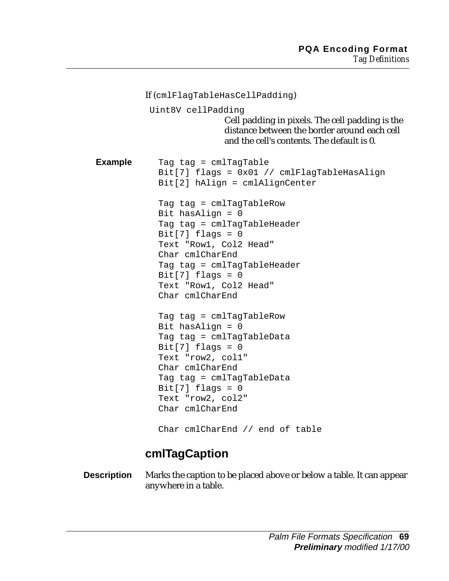If (cmlFlagTableHasCellPadding) Uint8V cellPadding Cell padding in pixels. The cell padding is the distance between the border around each cell and the cell's contents. The default is 0. **Example** Tag tag = cmlTagTable Bit[7] flags = 0x01 // cmlFlagTableHasAlign Bit[2] hAlign = cmlAlignCenter Tag tag = cmlTagTableRow Bit hasAlign = 0 Tag tag = cmlTagTableHeader  $Bit[7]$  flags = 0 Text "Row1, Col2 Head" Char cmlCharEnd Tag tag = cmlTagTableHeader  $Bit[7]$  flags = 0 Text "Row1, Col2 Head" Char cmlCharEnd Tag tag = cmlTagTableRow Bit hasAlign = 0 Tag tag = cmlTagTableData  $Bit[7]$  flags = 0 Text "row2, col1" Char cmlCharEnd Tag tag = cmlTagTableData  $Bit[7]$  flags = 0 Text "row2, col2" Char cmlCharEnd Char cmlCharEnd // end of table

## **cmlTagCaption**

**Description** Marks the caption to be placed above or below a table. It can appear anywhere in a table.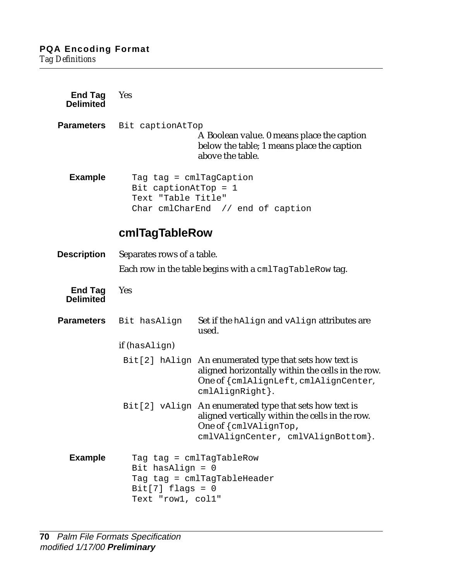| <b>End Tag</b><br><b>Delimited</b> | Yes                                                                       |                                                                                                                                                                          |
|------------------------------------|---------------------------------------------------------------------------|--------------------------------------------------------------------------------------------------------------------------------------------------------------------------|
| <b>Parameters</b>                  | Bit captionAtTop                                                          | A Boolean value. 0 means place the caption<br>below the table; 1 means place the caption<br>above the table.                                                             |
| <b>Example</b>                     | Tag tag = cmlTagCaption<br>Bit caption At Top = $1$<br>Text "Table Title" | Char cmlCharEnd // end of caption                                                                                                                                        |
|                                    | cmlTagTableRow                                                            |                                                                                                                                                                          |
| <b>Description</b>                 | Separates rows of a table.                                                | Each row in the table begins with a cmlTagTableRow tag.                                                                                                                  |
| <b>End Tag</b><br><b>Delimited</b> | <b>Yes</b>                                                                |                                                                                                                                                                          |
| <b>Parameters</b>                  | Bit hasAlign                                                              | Set if the halign and valign attributes are<br>used.                                                                                                                     |
|                                    | if (hasAlign)                                                             |                                                                                                                                                                          |
|                                    |                                                                           | Bit[2] hAlign An enumerated type that sets how text is<br>aligned horizontally within the cells in the row.<br>One of {cmlAlignLeft, cmlAlignCenter,<br>cmlAlignRight}.  |
|                                    |                                                                           | Bit[2] vAlign An enumerated type that sets how text is<br>aligned vertically within the cells in the row.<br>One of {cmlVAlignTop,<br>cmlVAlignCenter, cmlVAlignBottom}. |
| <b>Example</b>                     | Bit hasAlign = 0<br>$Bit[7]$ flags = 0<br>Text "rowl, coll"               | Tag tag = cmlTagTableRow<br>Tag tag = cmlTagTableHeader                                                                                                                  |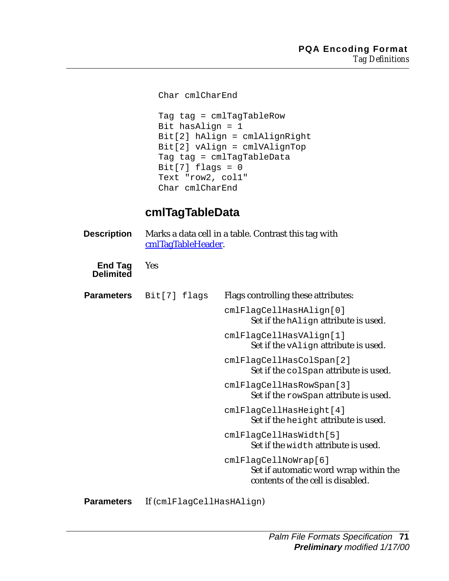Char cmlCharEnd Tag tag = cmlTagTableRow Bit hasAlign = 1 Bit[2] hAlign = cmlAlignRight Bit[2] vAlign = cmlVAlignTop Tag tag = cmlTagTableData  $Bit[7]$  flags = 0 Text "row2, col1" Char cmlCharEnd

## **cmlTagTableData**

| <b>Description</b> | Marks a data cell in a table. Contrast this tag with |
|--------------------|------------------------------------------------------|
|                    | cmlTagTableHeader.                                   |

#### **End Tag Delimited** Yes

| <b>Parameters</b> | Bit[7] flags | Flags controlling these attributes:                                                                |
|-------------------|--------------|----------------------------------------------------------------------------------------------------|
|                   |              |                                                                                                    |
|                   |              | cmlFlagCellHasHAlign[0]<br>Set if the halign attribute is used.                                    |
|                   |              | cmlFlagCellHasVAlign[1]<br>Set if the valign attribute is used.                                    |
|                   |              | cmlFlagCellHasColSpan[2]<br>Set if the colspan attribute is used.                                  |
|                   |              | cmlFlagCellHasRowSpan[3]<br>Set if the rowSpan attribute is used.                                  |
|                   |              | cmlFlagCellHasHeight[4]<br>Set if the height attribute is used.                                    |
|                   |              | cmlFlagCellHasWidth[5]<br>Set if the width attribute is used.                                      |
|                   |              | cmlFlagCellNoWrap[6]<br>Set if automatic word wrap within the<br>contents of the cell is disabled. |

**Parameters** If (cmlFlagCellHasHAlign)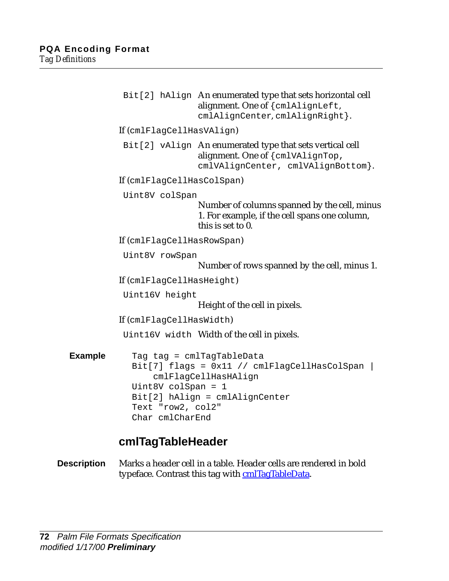Bit[2] hAlign An enumerated type that sets horizontal cell alignment. One of {cmlAlignLeft, cmlAlignCenter, cmlAlignRight}. If (cmlFlagCellHasVAlign) Bit[2] vAlign An enumerated type that sets vertical cell alignment. One of {cmlVAlignTop, cmlVAlignCenter, cmlVAlignBottom}. If (cmlFlagCellHasColSpan) Uint8V colSpan Number of columns spanned by the cell, minus 1. For example, if the cell spans one column, this is set to 0. If (cmlFlagCellHasRowSpan) Uint8V rowSpan Number of rows spanned by the cell, minus 1. If (cmlFlagCellHasHeight) Uint16V height Height of the cell in pixels. If (cmlFlagCellHasWidth) Uint16V width Width of the cell in pixels. **Example** Tag tag = cmlTagTableData Bit[7] flags = 0x11 // cmlFlagCellHasColSpan | cmlFlagCellHasHAlign Uint8V colSpan = 1 Bit[2] hAlign = cmlAlignCenter Text "row2, col2"

## **cmlTagTableHeader**

Char cmlCharEnd

**Description** Marks a header cell in a table. Header cells are rendered in bold typeface. Contrast this tag with cmlTagTableData.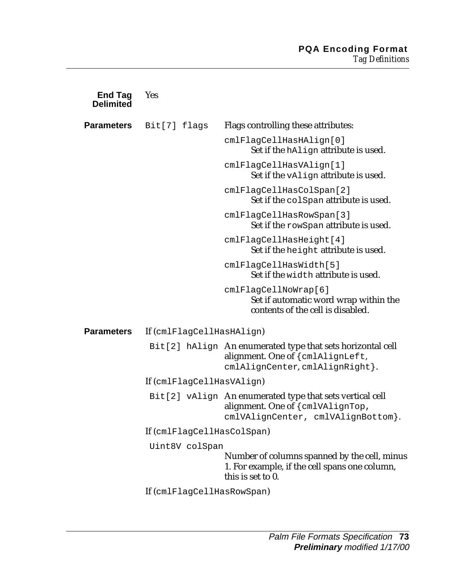| <b>End Tag</b><br><b>Delimited</b> | <b>Yes</b>                 |                                                                                                                                                |
|------------------------------------|----------------------------|------------------------------------------------------------------------------------------------------------------------------------------------|
| <b>Parameters</b>                  | Bit[7] flags               | Flags controlling these attributes:                                                                                                            |
|                                    |                            | cmlFlagCellHasHAlign[0]<br>Set if the halign attribute is used.                                                                                |
|                                    |                            | cmlFlagCellHasVAlign[1]<br>Set if the valign attribute is used.                                                                                |
|                                    |                            | cmlFlagCellHasColSpan[2]<br>Set if the colspan attribute is used.                                                                              |
|                                    |                            | cmlFlagCellHasRowSpan[3]<br>Set if the rowSpan attribute is used.                                                                              |
|                                    |                            | cmlFlagCellHasHeight[4]<br>Set if the height attribute is used.                                                                                |
|                                    |                            | cmlFlagCellHasWidth[5]<br>Set if the width attribute is used.                                                                                  |
|                                    |                            | cmlFlagCellNoWrap[6]<br>Set if automatic word wrap within the<br>contents of the cell is disabled.                                             |
| <b>Parameters</b>                  | If (cmlFlagCellHasHAlign)  |                                                                                                                                                |
|                                    |                            | Bit[2] hAlign An enumerated type that sets horizontal cell<br>alignment. One of {cmlAlignLeft,<br>cmlAlignCenter, cmlAlignRight }.             |
|                                    | If (cmlFlagCellHasVAlign)  |                                                                                                                                                |
|                                    |                            | Bit[2] vAlign An enumerated type that sets vertical cell<br>alignment. One of $\{\text{cmIValignTop},\}$<br>cmlVAlignCenter, cmlVAlignBottom}. |
|                                    | If (cmlFlagCellHasColSpan) |                                                                                                                                                |
|                                    | Uint8V colSpan             | Number of columns spanned by the cell, minus<br>1. For example, if the cell spans one column,<br>this is set to 0.                             |
|                                    | If (cmlFlagCellHasRowSpan) |                                                                                                                                                |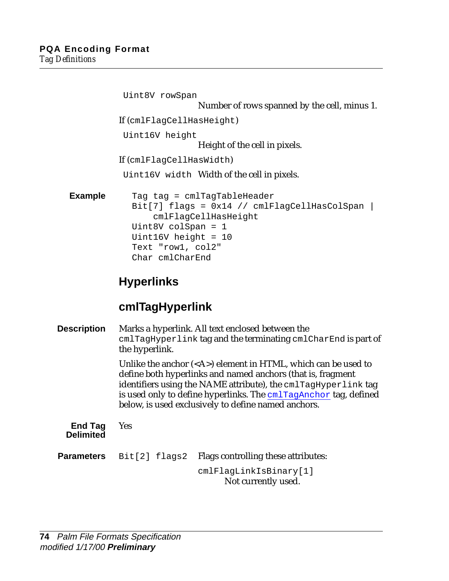Uint8V rowSpan Number of rows spanned by the cell, minus 1. If (cmlFlagCellHasHeight) Uint16V height Height of the cell in pixels. If (cmlFlagCellHasWidth) Uint16V width Width of the cell in pixels. **Example** Tag tag = cmlTagTableHeader Bit[7] flags = 0x14 // cmlFlagCellHasColSpan | cmlFlagCellHasHeight Uint8V colSpan = 1 Uint16V height = 10 Text "row1, col2" Char cmlCharEnd

## **Hyperlinks**

## **cmlTagHyperlink**

| <b>Description</b>                 | Marks a hyperlink. All text enclosed between the<br>cmlTagHyperlink tag and the terminating cmlCharEnd is part of<br>the hyperlink.                                                                                                                                                                                                     |                                               |  |
|------------------------------------|-----------------------------------------------------------------------------------------------------------------------------------------------------------------------------------------------------------------------------------------------------------------------------------------------------------------------------------------|-----------------------------------------------|--|
|                                    | Unlike the anchor $\langle A \rangle$ element in HTML, which can be used to<br>define both hyperlinks and named anchors (that is, fragment<br>identifiers using the NAME attribute), the cmlTagHyperlink tag<br>is used only to define hyperlinks. The cmlTagAnchor tag, defined<br>below, is used exclusively to define named anchors. |                                               |  |
| <b>End Tag</b><br><b>Delimited</b> | Yes                                                                                                                                                                                                                                                                                                                                     |                                               |  |
| <b>Parameters</b>                  | Bit[2] flags2                                                                                                                                                                                                                                                                                                                           | Flags controlling these attributes:           |  |
|                                    |                                                                                                                                                                                                                                                                                                                                         | cmlFlagLinkIsBinary[1]<br>Not currently used. |  |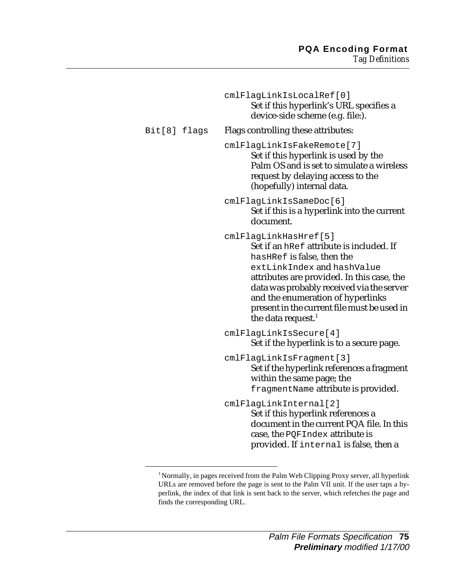|              |                                                                                                                                                                                    | cmlFlagLinkIsLocalRef[0]<br>Set if this hyperlink's URL specifies a<br>device-side scheme (e.g. file:).                                                                                                                                                                                                                               |
|--------------|------------------------------------------------------------------------------------------------------------------------------------------------------------------------------------|---------------------------------------------------------------------------------------------------------------------------------------------------------------------------------------------------------------------------------------------------------------------------------------------------------------------------------------|
| Bit[8] flags |                                                                                                                                                                                    | Flags controlling these attributes:                                                                                                                                                                                                                                                                                                   |
|              | cmlFlagLinkIsFakeRemote[7]<br>Set if this hyperlink is used by the<br>Palm OS and is set to simulate a wireless<br>request by delaying access to the<br>(hopefully) internal data. |                                                                                                                                                                                                                                                                                                                                       |
|              |                                                                                                                                                                                    | cmlFlagLinkIsSameDoc[6]<br>Set if this is a hyperlink into the current<br>document.                                                                                                                                                                                                                                                   |
|              |                                                                                                                                                                                    | cmlFlagLinkHasHref[5]<br>Set if an hRef attribute is included. If<br>hasHRef is false, then the<br>extLinkIndex and hashValue<br>attributes are provided. In this case, the<br>data was probably received via the server<br>and the enumeration of hyperlinks<br>present in the current file must be used in<br>the data request. $1$ |
|              |                                                                                                                                                                                    | cmlFlagLinkIsSecure[4]<br>Set if the hyperlink is to a secure page.                                                                                                                                                                                                                                                                   |
|              |                                                                                                                                                                                    | cmlFlagLinkIsFragment[3]<br>Set if the hyperlink references a fragment<br>within the same page; the<br>fragmentName attribute is provided.                                                                                                                                                                                            |
|              |                                                                                                                                                                                    | cmlFlagLinkInternal[2]<br>Set if this hyperlink references a<br>document in the current PQA file. In this<br>case, the PQFIndex attribute is<br>provided. If internal is false, then a                                                                                                                                                |

<sup>&</sup>lt;sup>1</sup>: Normally, in pages received from the Palm Web Clipping Proxy server, all hyperlink URLs are removed before the page is sent to the Palm VII unit. If the user taps a hyperlink, the index of that link is sent back to the server, which refetches the page and finds the corresponding URL.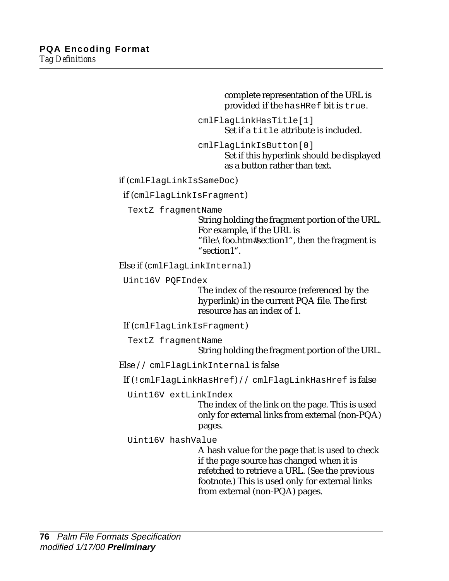complete representation of the URL is provided if the hasHRef bit is true.

cmlFlagLinkHasTitle[1] Set if a title attribute is included.

cmlFlagLinkIsButton[0] Set if this hyperlink should be displayed as a button rather than text.

if (cmlFlagLinkIsSameDoc)

if (cmlFlagLinkIsFragment)

TextZ fragmentName

String holding the fragment portion of the URL. For example, if the URL is "file:\foo.htm#section1", then the fragment is "section1".

Else if (cmlFlagLinkInternal)

Uint16V PQFIndex

The index of the resource (referenced by the hyperlink) in the current PQA file. The first resource has an index of 1.

If (cmlFlagLinkIsFragment)

TextZ fragmentName

String holding the fragment portion of the URL.

Else // cmlFlagLinkInternal is false

If (!cmlFlagLinkHasHref) // cmlFlagLinkHasHref is false

Uint16V extLinkIndex

The index of the link on the page. This is used only for external links from external (non-PQA) pages.

Uint16V hashValue

A hash value for the page that is used to check if the page source has changed when it is refetched to retrieve a URL. (See the previous footnote.) This is used only for external links from external (non-PQA) pages.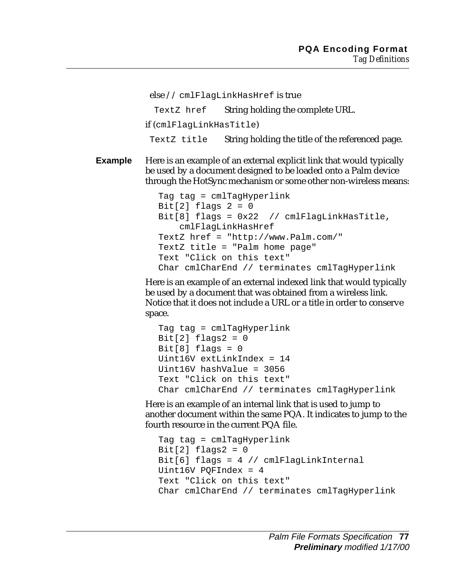```
 else // cmlFlagLinkHasHref is true
  TextZ href String holding the complete URL.
if (cmlFlagLinkHasTitle)
 TextZ title String holding the title of the referenced page.
```
**Example** Here is an example of an external explicit link that would typically be used by a document designed to be loaded onto a Palm device through the HotSync mechanism or some other non-wireless means:

```
Tag tag = cmlTagHyperlink
Bit[2] flags 2 = 0Bit[8] flags = 0x22 // cmlFlagLinkHasTitle,
    cmlFlagLinkHasHref
TextZ href = "http://www.Palm.com/" 
TextZ title = "Palm home page"
Text "Click on this text"
Char cmlCharEnd // terminates cmlTagHyperlink
```
Here is an example of an external indexed link that would typically be used by a document that was obtained from a wireless link. Notice that it does not include a URL or a title in order to conserve space.

```
Tag tag = cmlTagHyperlink
Bit[2] \ \text{flags2} = 0Bit[8] flags = 0
Uint16V extLinkIndex = 14
Uint16V hashValue = 3056
Text "Click on this text"
Char cmlCharEnd // terminates cmlTagHyperlink
```
Here is an example of an internal link that is used to jump to another document within the same PQA. It indicates to jump to the fourth resource in the current PQA file.

```
Tag tag = cmlTagHyperlink
Bit[2] \; flags2 = 0Bit[6] flags = 4 // cmlFlagLinkInternal
Uint16V POFIndex = 4Text "Click on this text"
Char cmlCharEnd // terminates cmlTagHyperlink
```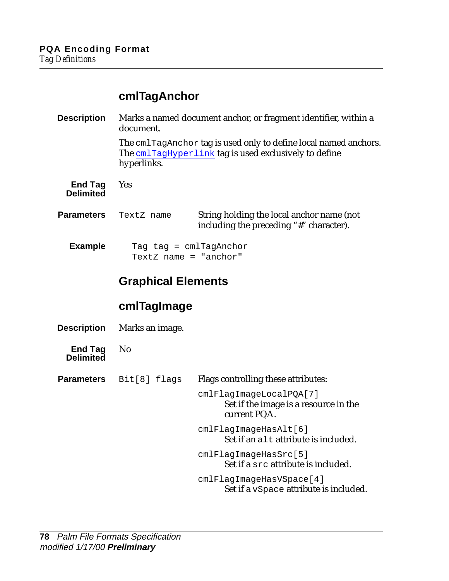## **cmlTagAnchor**

| <b>Description</b>                 | document.                                         | Marks a named document anchor, or fragment identifier, within a                                                           |
|------------------------------------|---------------------------------------------------|---------------------------------------------------------------------------------------------------------------------------|
|                                    | hyperlinks.                                       | The cmlTagAnchor tag is used only to define local named anchors.<br>The cmlTagHyperlink tag is used exclusively to define |
| <b>End Tag</b><br><b>Delimited</b> | Yes                                               |                                                                                                                           |
| <b>Parameters</b>                  | TextZ name                                        | String holding the local anchor name (not<br>including the preceding "#" character).                                      |
| <b>Example</b>                     | Tag tag = cmlTagAnchor<br>TextZ $name = "anchor"$ |                                                                                                                           |
|                                    | <b>Graphical Elements</b>                         |                                                                                                                           |
|                                    | cmlTagImage                                       |                                                                                                                           |
| <b>Description</b>                 | Marks an image.                                   |                                                                                                                           |
| <b>End Tag</b><br><b>Delimited</b> | N <sub>o</sub>                                    |                                                                                                                           |
| <b>Parameters</b>                  | Bit[8] flags                                      | Flags controlling these attributes:                                                                                       |
|                                    |                                                   | cmlFlagImageLocalPQA[7]<br>Set if the image is a resource in the<br>current PQA.                                          |
|                                    |                                                   | cmlFlagImageHasAlt[6]<br>Set if an alt attribute is included.                                                             |
|                                    |                                                   | cmlFlagImageHasSrc[5]<br>Set if a src attribute is included.                                                              |
|                                    |                                                   | cmlFlagImageHasVSpace[4]<br>Set if a vSpace attribute is included.                                                        |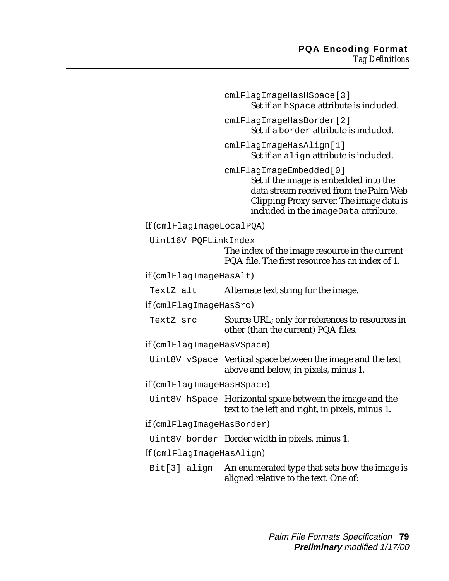cmlFlagImageHasHSpace[3] Set if an hSpace attribute is included.

cmlFlagImageHasBorder[2] Set if a border attribute is included.

cmlFlagImageHasAlign[1] Set if an align attribute is included.

cmlFlagImageEmbedded[0] Set if the image is embedded into the data stream received from the Palm Web Clipping Proxy server. The image data is included in the imageData attribute.

If (cmlFlagImageLocalPQA)

Uint16V PQFLinkIndex

The index of the image resource in the current PQA file. The first resource has an index of 1.

if (cmlFlagImageHasAlt)

TextZ alt Alternate text string for the image.

if (cmlFlagImageHasSrc)

TextZ src Source URL; only for references to resources in other (than the current) PQA files.

if (cmlFlagImageHasVSpace)

 Uint8V vSpace Vertical space between the image and the text above and below, in pixels, minus 1.

if (cmlFlagImageHasHSpace)

 Uint8V hSpace Horizontal space between the image and the text to the left and right, in pixels, minus 1.

if (cmlFlagImageHasBorder)

Uint8V border Border width in pixels, minus 1.

If (cmlFlagImageHasAlign)

 Bit[3] align An enumerated type that sets how the image is aligned relative to the text. One of: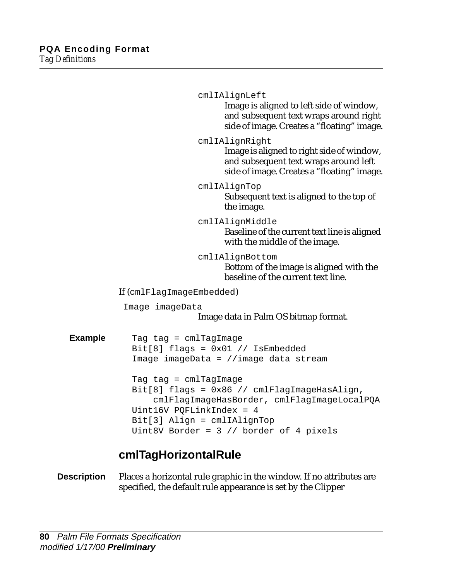cmlIAlignLeft

Image is aligned to left side of window, and subsequent text wraps around right side of image. Creates a "floating" image.

cmlIAlignRight

Image is aligned to right side of window, and subsequent text wraps around left side of image. Creates a "floating" image.

cmlIAlignTop

Subsequent text is aligned to the top of the image.

cmlIAlignMiddle

Baseline of the current text line is aligned with the middle of the image.

cmlIAlignBottom

Bottom of the image is aligned with the baseline of the current text line.

If (cmlFlagImageEmbedded)

Image imageData

Image data in Palm OS bitmap format.

**Example** Tag tag = cmlTagImage Bit[8] flags = 0x01 // IsEmbedded Image imageData = //image data stream

> Tag tag = cmlTagImage  $Bit[8]$  flags =  $0x86$  // cmlFlagImageHasAlign, cmlFlagImageHasBorder, cmlFlagImageLocalPQA Uint16V PQFLinkIndex = 4 Bit[3] Align = cmlIAlignTop Uint8V Border = 3 // border of 4 pixels

## **cmlTagHorizontalRule**

**Description** Places a horizontal rule graphic in the window. If no attributes are specified, the default rule appearance is set by the Clipper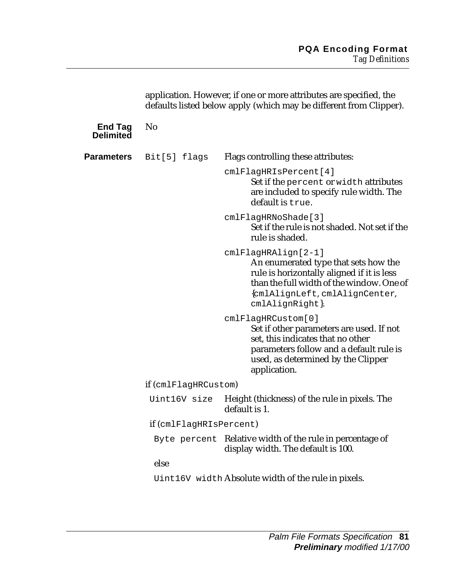|                                    | application. However, if one or more attributes are specified, the<br>defaults listed below apply (which may be different from Clipper). |                                                                                                                                                                                                             |
|------------------------------------|------------------------------------------------------------------------------------------------------------------------------------------|-------------------------------------------------------------------------------------------------------------------------------------------------------------------------------------------------------------|
| <b>End Tag</b><br><b>Delimited</b> | N <sub>0</sub>                                                                                                                           |                                                                                                                                                                                                             |
| <b>Parameters</b>                  | Bit[5] flags                                                                                                                             | Flags controlling these attributes:                                                                                                                                                                         |
|                                    |                                                                                                                                          | cmlFlagHRIsPercent[4]<br>Set if the percent or width attributes<br>are included to specify rule width. The<br>default is true.                                                                              |
|                                    |                                                                                                                                          | cmlFlagHRNoShade[3]<br>Set if the rule is not shaded. Not set if the<br>rule is shaded.                                                                                                                     |
|                                    |                                                                                                                                          | cmlFlagHRAlign[2-1]<br>An enumerated type that sets how the<br>rule is horizontally aligned if it is less<br>than the full width of the window. One of<br>{cmlAlignLeft, cmlAlignCenter,<br>cmlAlignRight}. |
|                                    |                                                                                                                                          | cmlFlagHRCustom[0]<br>Set if other parameters are used. If not<br>set, this indicates that no other<br>parameters follow and a default rule is<br>used, as determined by the Clipper<br>application.        |
|                                    | if (cmlFlagHRCustom)                                                                                                                     |                                                                                                                                                                                                             |
|                                    | Uint16V size                                                                                                                             | Height (thickness) of the rule in pixels. The<br>default is 1.                                                                                                                                              |
|                                    | if (cmlFlagHRIsPercent)                                                                                                                  |                                                                                                                                                                                                             |
|                                    | Byte percent                                                                                                                             | Relative width of the rule in percentage of<br>display width. The default is 100.                                                                                                                           |
|                                    | else                                                                                                                                     |                                                                                                                                                                                                             |
|                                    |                                                                                                                                          | Uint16V width Absolute width of the rule in pixels.                                                                                                                                                         |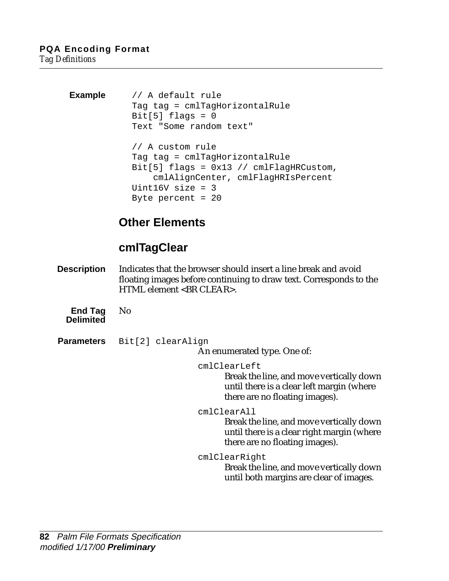**Example** // A default rule Tag tag = cmlTagHorizontalRule  $Bit[5] \; flags = 0$ Text "Some random text" // A custom rule Tag tag = cmlTagHorizontalRule Bit[5] flags = 0x13 // cmlFlagHRCustom, cmlAlignCenter, cmlFlagHRIsPercent Uint $16V$  size = 3 Byte percent = 20

## **Other Elements**

## **cmlTagClear**

**Description** Indicates that the browser should insert a line break and avoid floating images before continuing to draw text. Corresponds to the HTML element <BR CLEAR>.

**End Tag Delimited** No

**Parameters** Bit[2] clearAlign

An enumerated type. One of:

cmlClearLeft

Break the line, and move vertically down until there is a clear left margin (where there are no floating images).

cmlClearAll

Break the line, and move vertically down until there is a clear right margin (where there are no floating images).

cmlClearRight

Break the line, and move vertically down until both margins are clear of images.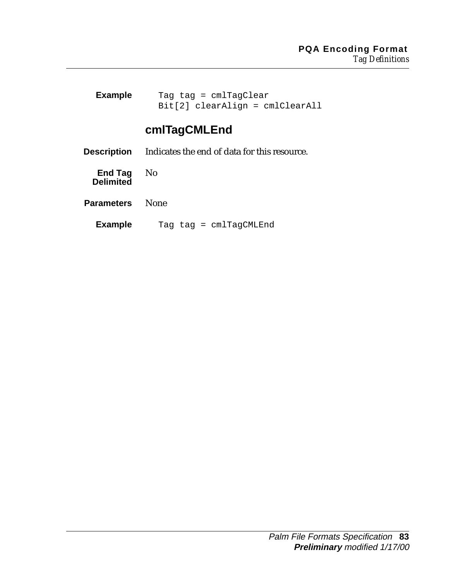| Example | Tag tag = cmlTagClear           |
|---------|---------------------------------|
|         | Bit[2] clearAlign = cmlClearAll |

## **cmlTagCMLEnd**

|                                    | <b>Description</b> Indicates the end of data for this resource. |
|------------------------------------|-----------------------------------------------------------------|
| <b>End Tag</b><br><b>Delimited</b> | N <sub>0</sub>                                                  |
| Parameters                         | <b>None</b>                                                     |
| <b>Example</b>                     | Tag tag = cmlTagCMLEnd                                          |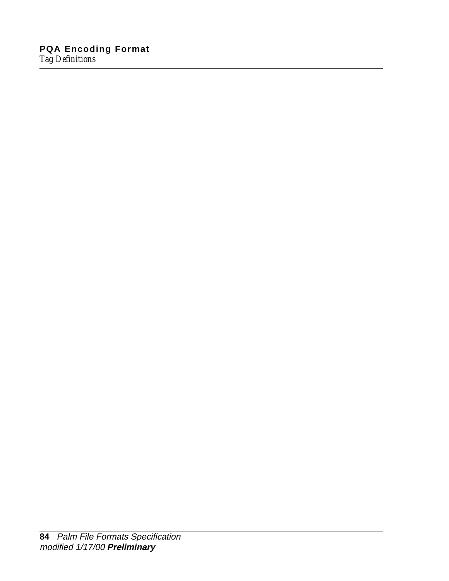#### **PQA Encoding Format** *Tag Definitions*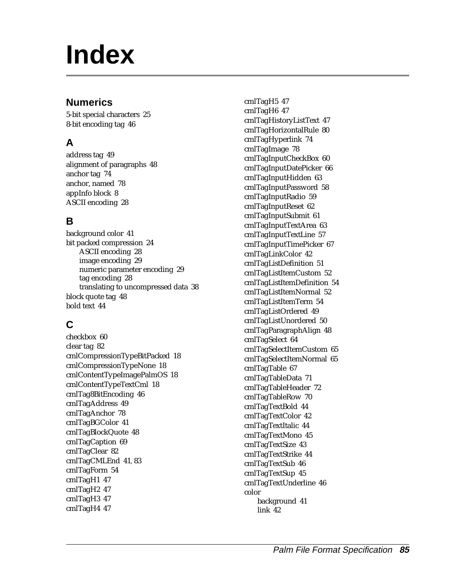### **Numerics**

5-bit special characters 25 8-bit encoding tag 46

## **A**

address tag 49 alignment of paragraphs 48 anchor tag 74 anchor, named 78 appInfo block 8 ASCII encoding 28

## **B**

background color 41 bit packed compression 24 ASCII encoding 28 image encoding 29 numeric parameter encoding 29 tag encoding 28 translating to uncompressed data 38 block quote tag 48 bold text 44

## **C**

checkbox 60 clear tag 82 cmlCompressionTypeBitPacked 18 cmlCompressionTypeNone 18 cmlContentTypeImagePalmOS 18 cmlContentTypeTextCml 18 cmlTag8BitEncoding 46 cmlTagAddress 49 cmlTagAnchor 78 cmlTagBGColor 41 cmlTagBlockQuote 48 cmlTagCaption 69 cmlTagClear 82 cmlTagCMLEnd 41, 83 cmlTagForm 54 cmlTagH1 47 cmlTagH2 47 cmlTagH3 47 cmlTagH4 47

cmlTagH5 47 cmlTagH6 47 cmlTagHistoryListText 47 cmlTagHorizontalRule 80 cmlTagHyperlink 74 cmlTagImage 78 cmlTagInputCheckBox 60 cmlTagInputDatePicker 66 cmlTagInputHidden 63 cmlTagInputPassword 58 cmlTagInputRadio 59 cmlTagInputReset 62 cmlTagInputSubmit 61 cmlTagInputTextArea 63 cmlTagInputTextLine 57 cmlTagInputTimePicker 67 cmlTagLinkColor 42 cmlTagListDefinition 51 cmlTagListItemCustom 52 cmlTagListItemDefinition 54 cmlTagListItemNormal 52 cmlTagListItemTerm 54 cmlTagListOrdered 49 cmlTagListUnordered 50 cmlTagParagraphAlign 48 cmlTagSelect 64 cmlTagSelectItemCustom 65 cmlTagSelectItemNormal 65 cmlTagTable 67 cmlTagTableData 71 cmlTagTableHeader 72 cmlTagTableRow 70 cmlTagTextBold 44 cmlTagTextColor 42 cmlTagTextItalic 44 cmlTagTextMono 45 cmlTagTextSize 43 cmlTagTextStrike 44 cmlTagTextSub 46 cmlTagTextSup 45 cmlTagTextUnderline 46 color background 41 link 42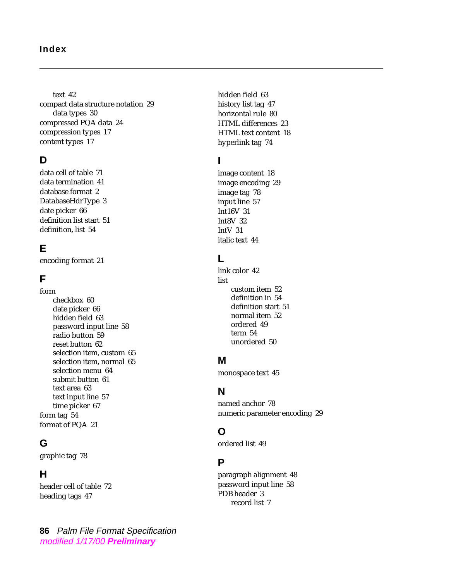text 42 compact data structure notation 29 data types 30 compressed PQA data 24 compression types 17 content types 17

#### **D**

data cell of table 71 data termination 41 database format 2 DatabaseHdrType 3 date picker 66 definition list start 51 definition, list 54

#### **E**

encoding format 21

## **F**

form checkbox 60 date picker 66 hidden field 63 password input line 58 radio button 59 reset button 62 selection item, custom 65 selection item, normal 65 selection menu 64 submit button 61 text area 63 text input line 57 time picker 67 form tag 54 format of PQA 21

#### **G**

graphic tag 78

#### **H**

header cell of table 72 heading tags 47

**86** Palm File Format Specification modified 1/17/00 **Preliminary** 

hidden field 63 history list tag 47 horizontal rule 80 HTML differences 23 HTML text content 18 hyperlink tag 74

#### **I**

image content 18 image encoding 29 image tag 78 input line 57 Int16V 31 Int8V 32 IntV 31 italic text 44

#### **L**

link color 42 list custom item 52 definition in 54 definition start 51 normal item 52 ordered 49 term 54 unordered 50

#### **M**

monospace text 45

#### **N**

named anchor 78 numeric parameter encoding 29

#### **O**

ordered list 49

#### **P**

paragraph alignment 48 password input line 58 PDB header 3 record list 7